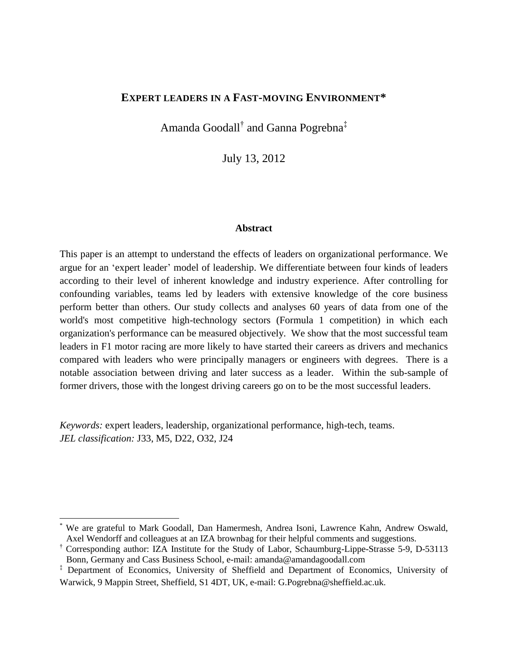## **EXPERT LEADERS IN A FAST-MOVING ENVIRONMENT\***

Amanda Goodall<sup>†</sup> and Ganna Pogrebna<sup>‡</sup>

July 13, 2012

#### **Abstract**

This paper is an attempt to understand the effects of leaders on organizational performance. We argue for an 'expert leader' model of leadership. We differentiate between four kinds of leaders according to their level of inherent knowledge and industry experience. After controlling for confounding variables, teams led by leaders with extensive knowledge of the core business perform better than others. Our study collects and analyses 60 years of data from one of the world's most competitive high-technology sectors (Formula 1 competition) in which each organization's performance can be measured objectively. We show that the most successful team leaders in F1 motor racing are more likely to have started their careers as drivers and mechanics compared with leaders who were principally managers or engineers with degrees. There is a notable association between driving and later success as a leader. Within the sub-sample of former drivers, those with the longest driving careers go on to be the most successful leaders.

*Keywords:* expert leaders, leadership, organizational performance, high-tech, teams. *JEL classification:* J33, M5, D22, O32, J24

l

<sup>\*</sup> We are grateful to Mark Goodall, Dan Hamermesh, Andrea Isoni, Lawrence Kahn, Andrew Oswald, Axel Wendorff and colleagues at an IZA brownbag for their helpful comments and suggestions.

<sup>†</sup> Corresponding author: IZA Institute for the Study of Labor, Schaumburg-Lippe-Strasse 5-9, D-53113 Bonn, Germany and Cass Business School, e-mail: [amanda@amandagoodall.com](mailto:amanda@amandagoodall.com)

<sup>&</sup>lt;sup>‡</sup> Department of Economics, University of Sheffield and Department of Economics, University of Warwick, 9 Mappin Street, Sheffield, S1 4DT, UK, e-mail: G.Pogrebna@sheffield.ac.uk.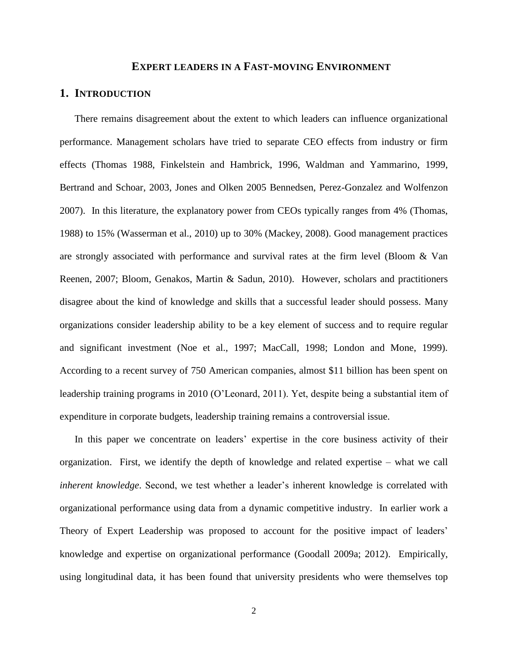#### **EXPERT LEADERS IN A FAST-MOVING ENVIRONMENT**

## **1. INTRODUCTION**

There remains disagreement about the extent to which leaders can influence organizational performance. Management scholars have tried to separate CEO effects from industry or firm effects (Thomas 1988, Finkelstein and Hambrick, 1996, Waldman and Yammarino, 1999, Bertrand and Schoar, 2003, Jones and Olken 2005 Bennedsen, Perez-Gonzalez and Wolfenzon 2007). In this literature, the explanatory power from CEOs typically ranges from 4% (Thomas, 1988) to 15% (Wasserman et al., 2010) up to 30% (Mackey, 2008). Good management practices are strongly associated with performance and survival rates at the firm level (Bloom & Van Reenen, 2007; Bloom, Genakos, Martin & Sadun, 2010). However, scholars and practitioners disagree about the kind of knowledge and skills that a successful leader should possess. Many organizations consider leadership ability to be a key element of success and to require regular and significant investment (Noe et al., 1997; MacCall, 1998; London and Mone, 1999). According to a recent survey of 750 American companies, almost \$11 billion has been spent on leadership training programs in 2010 (O'Leonard, 2011). Yet, despite being a substantial item of expenditure in corporate budgets, leadership training remains a controversial issue.

In this paper we concentrate on leaders' expertise in the core business activity of their organization. First, we identify the depth of knowledge and related expertise – what we call *inherent knowledge*. Second, we test whether a leader's inherent knowledge is correlated with organizational performance using data from a dynamic competitive industry. In earlier work a Theory of Expert Leadership was proposed to account for the positive impact of leaders' knowledge and expertise on organizational performance (Goodall 2009a; 2012). Empirically, using longitudinal data, it has been found that university presidents who were themselves top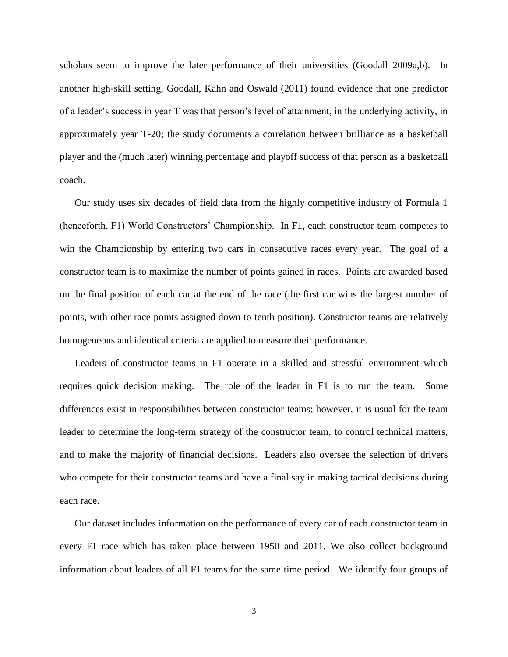scholars seem to improve the later performance of their universities (Goodall 2009a,b). In another high-skill setting, Goodall, Kahn and Oswald (2011) found evidence that one predictor of a leader's success in year T was that person's level of attainment, in the underlying activity, in approximately year T-20; the study documents a correlation between brilliance as a basketball player and the (much later) winning percentage and playoff success of that person as a basketball coach.

Our study uses six decades of field data from the highly competitive industry of Formula 1 (henceforth, F1) World Constructors' Championship. In F1, each constructor team competes to win the Championship by entering two cars in consecutive races every year. The goal of a constructor team is to maximize the number of points gained in races. Points are awarded based on the final position of each car at the end of the race (the first car wins the largest number of points, with other race points assigned down to tenth position). Constructor teams are relatively homogeneous and identical criteria are applied to measure their performance.

Leaders of constructor teams in F1 operate in a skilled and stressful environment which requires quick decision making. The role of the leader in F1 is to run the team. Some differences exist in responsibilities between constructor teams; however, it is usual for the team leader to determine the long-term strategy of the constructor team, to control technical matters, and to make the majority of financial decisions. Leaders also oversee the selection of drivers who compete for their constructor teams and have a final say in making tactical decisions during each race.

Our dataset includes information on the performance of every car of each constructor team in every F1 race which has taken place between 1950 and 2011. We also collect background information about leaders of all F1 teams for the same time period. We identify four groups of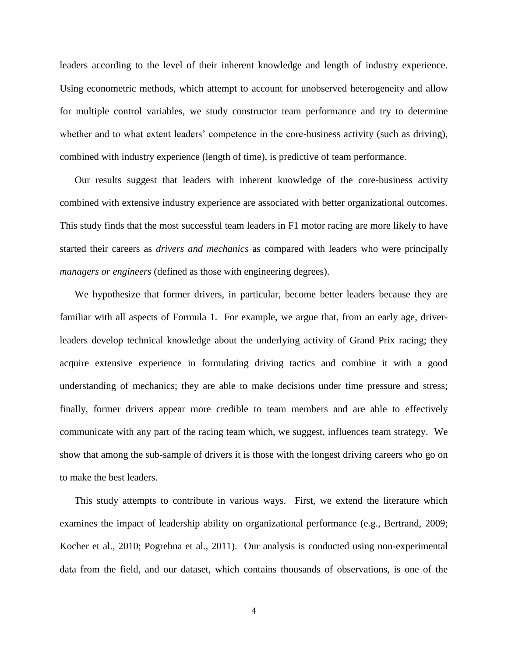leaders according to the level of their inherent knowledge and length of industry experience. Using econometric methods, which attempt to account for unobserved heterogeneity and allow for multiple control variables, we study constructor team performance and try to determine whether and to what extent leaders' competence in the core-business activity (such as driving), combined with industry experience (length of time), is predictive of team performance.

Our results suggest that leaders with inherent knowledge of the core-business activity combined with extensive industry experience are associated with better organizational outcomes. This study finds that the most successful team leaders in F1 motor racing are more likely to have started their careers as *drivers and mechanics* as compared with leaders who were principally *managers or engineers* (defined as those with engineering degrees).

We hypothesize that former drivers, in particular, become better leaders because they are familiar with all aspects of Formula 1. For example, we argue that, from an early age, driverleaders develop technical knowledge about the underlying activity of Grand Prix racing; they acquire extensive experience in formulating driving tactics and combine it with a good understanding of mechanics; they are able to make decisions under time pressure and stress; finally, former drivers appear more credible to team members and are able to effectively communicate with any part of the racing team which, we suggest, influences team strategy. We show that among the sub-sample of drivers it is those with the longest driving careers who go on to make the best leaders.

This study attempts to contribute in various ways. First, we extend the literature which examines the impact of leadership ability on organizational performance (e.g., Bertrand, 2009; Kocher et al., 2010; Pogrebna et al., 2011). Our analysis is conducted using non-experimental data from the field, and our dataset, which contains thousands of observations, is one of the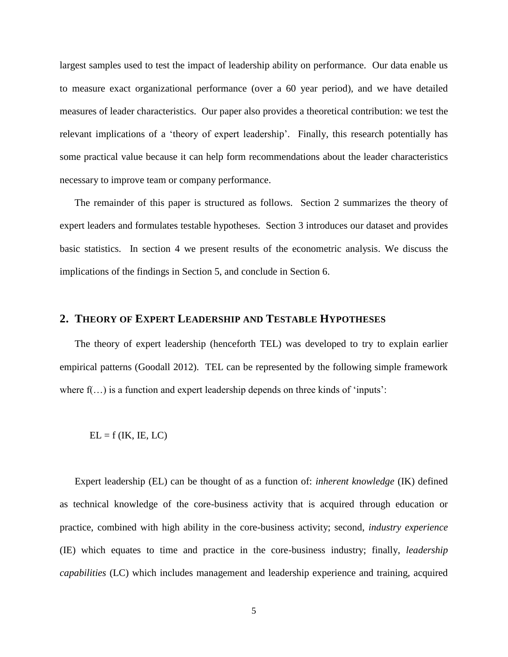largest samples used to test the impact of leadership ability on performance. Our data enable us to measure exact organizational performance (over a 60 year period), and we have detailed measures of leader characteristics. Our paper also provides a theoretical contribution: we test the relevant implications of a 'theory of expert leadership'. Finally, this research potentially has some practical value because it can help form recommendations about the leader characteristics necessary to improve team or company performance.

The remainder of this paper is structured as follows. Section 2 summarizes the theory of expert leaders and formulates testable hypotheses. Section 3 introduces our dataset and provides basic statistics. In section 4 we present results of the econometric analysis. We discuss the implications of the findings in Section 5, and conclude in Section 6.

## **2. THEORY OF EXPERT LEADERSHIP AND TESTABLE HYPOTHESES**

The theory of expert leadership (henceforth TEL) was developed to try to explain earlier empirical patterns (Goodall 2012). TEL can be represented by the following simple framework where  $f(...)$  is a function and expert leadership depends on three kinds of 'inputs':

$$
EL = f (IK, IE, LC)
$$

Expert leadership (EL) can be thought of as a function of: *inherent knowledge* (IK) defined as technical knowledge of the core-business activity that is acquired through education or practice, combined with high ability in the core-business activity; second, *industry experience* (IE) which equates to time and practice in the core-business industry; finally, *leadership capabilities* (LC) which includes management and leadership experience and training, acquired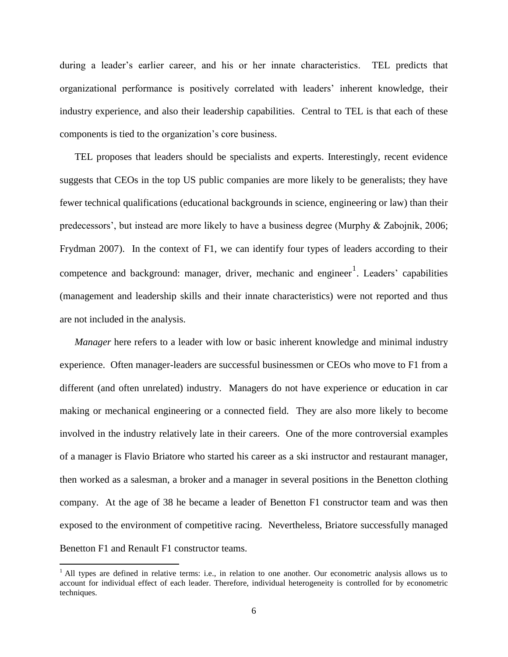during a leader's earlier career, and his or her innate characteristics. TEL predicts that organizational performance is positively correlated with leaders' inherent knowledge, their industry experience, and also their leadership capabilities. Central to TEL is that each of these components is tied to the organization's core business.

TEL proposes that leaders should be specialists and experts. Interestingly, recent evidence suggests that CEOs in the top US public companies are more likely to be generalists; they have fewer technical qualifications (educational backgrounds in science, engineering or law) than their predecessors', but instead are more likely to have a business degree (Murphy & Zabojnik, 2006; Frydman 2007). In the context of F1, we can identify four types of leaders according to their competence and background: manager, driver, mechanic and engineer<sup>1</sup>. Leaders' capabilities (management and leadership skills and their innate characteristics) were not reported and thus are not included in the analysis.

*Manager* here refers to a leader with low or basic inherent knowledge and minimal industry experience. Often manager-leaders are successful businessmen or CEOs who move to F1 from a different (and often unrelated) industry. Managers do not have experience or education in car making or mechanical engineering or a connected field. They are also more likely to become involved in the industry relatively late in their careers. One of the more controversial examples of a manager is Flavio Briatore who started his career as a ski instructor and restaurant manager, then worked as a salesman, a broker and a manager in several positions in the Benetton clothing company. At the age of 38 he became a leader of Benetton F1 constructor team and was then exposed to the environment of competitive racing. Nevertheless, Briatore successfully managed Benetton F1 and Renault F1 constructor teams.

 $<sup>1</sup>$  All types are defined in relative terms: i.e., in relation to one another. Our econometric analysis allows us to</sup> account for individual effect of each leader. Therefore, individual heterogeneity is controlled for by econometric techniques.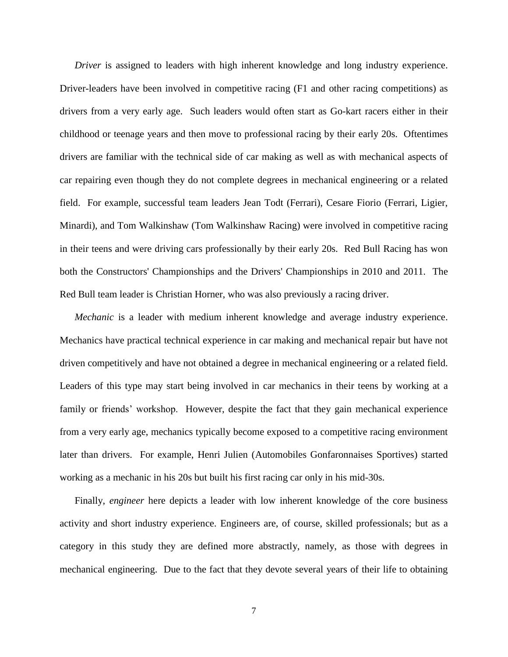*Driver* is assigned to leaders with high inherent knowledge and long industry experience. Driver-leaders have been involved in competitive racing (F1 and other racing competitions) as drivers from a very early age. Such leaders would often start as Go-kart racers either in their childhood or teenage years and then move to professional racing by their early 20s. Oftentimes drivers are familiar with the technical side of car making as well as with mechanical aspects of car repairing even though they do not complete degrees in mechanical engineering or a related field. For example, successful team leaders Jean Todt (Ferrari), Cesare Fiorio (Ferrari, Ligier, Minardi), and Tom Walkinshaw (Tom Walkinshaw Racing) were involved in competitive racing in their teens and were driving cars professionally by their early 20s. Red Bull Racing has won both the Constructors' Championships and the Drivers' Championships in 2010 and 2011. The Red Bull team leader is Christian Horner, who was also previously a racing driver.

*Mechanic* is a leader with medium inherent knowledge and average industry experience. Mechanics have practical technical experience in car making and mechanical repair but have not driven competitively and have not obtained a degree in mechanical engineering or a related field. Leaders of this type may start being involved in car mechanics in their teens by working at a family or friends' workshop. However, despite the fact that they gain mechanical experience from a very early age, mechanics typically become exposed to a competitive racing environment later than drivers. For example, Henri Julien (Automobiles Gonfaronnaises Sportives) started working as a mechanic in his 20s but built his first racing car only in his mid-30s.

Finally, *engineer* here depicts a leader with low inherent knowledge of the core business activity and short industry experience. Engineers are, of course, skilled professionals; but as a category in this study they are defined more abstractly, namely, as those with degrees in mechanical engineering. Due to the fact that they devote several years of their life to obtaining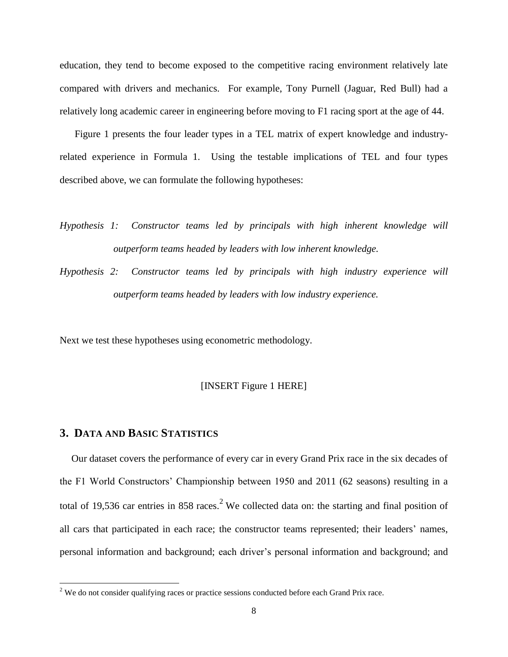education, they tend to become exposed to the competitive racing environment relatively late compared with drivers and mechanics. For example, Tony Purnell (Jaguar, Red Bull) had a relatively long academic career in engineering before moving to F1 racing sport at the age of 44.

Figure 1 presents the four leader types in a TEL matrix of expert knowledge and industryrelated experience in Formula 1. Using the testable implications of TEL and four types described above, we can formulate the following hypotheses:

- *Hypothesis 1: Constructor teams led by principals with high inherent knowledge will outperform teams headed by leaders with low inherent knowledge.*
- *Hypothesis 2: Constructor teams led by principals with high industry experience will outperform teams headed by leaders with low industry experience.*

Next we test these hypotheses using econometric methodology.

#### [INSERT Figure 1 HERE]

## **3. DATA AND BASIC STATISTICS**

 $\overline{\phantom{a}}$ 

Our dataset covers the performance of every car in every Grand Prix race in the six decades of the F1 World Constructors' Championship between 1950 and 2011 (62 seasons) resulting in a total of 19,536 car entries in 858 races.<sup>2</sup> We collected data on: the starting and final position of all cars that participated in each race; the constructor teams represented; their leaders' names, personal information and background; each driver's personal information and background; and

<sup>&</sup>lt;sup>2</sup> We do not consider qualifying races or practice sessions conducted before each Grand Prix race.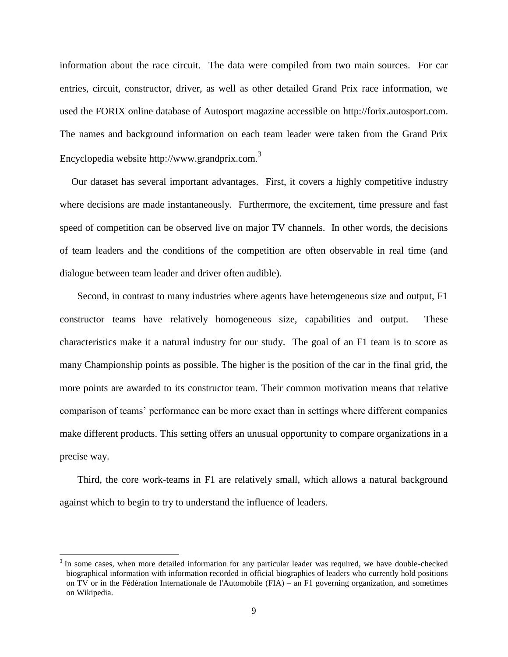information about the race circuit. The data were compiled from two main sources. For car entries, circuit, constructor, driver, as well as other detailed Grand Prix race information, we used the FORIX online database of Autosport magazine accessible on http://forix.autosport.com. The names and background information on each team leader were taken from the Grand Prix Encyclopedia website http://www.grandprix.com.<sup>3</sup>

Our dataset has several important advantages. First, it covers a highly competitive industry where decisions are made instantaneously. Furthermore, the excitement, time pressure and fast speed of competition can be observed live on major TV channels. In other words, the decisions of team leaders and the conditions of the competition are often observable in real time (and dialogue between team leader and driver often audible).

Second, in contrast to many industries where agents have heterogeneous size and output, F1 constructor teams have relatively homogeneous size, capabilities and output. These characteristics make it a natural industry for our study. The goal of an F1 team is to score as many Championship points as possible. The higher is the position of the car in the final grid, the more points are awarded to its constructor team. Their common motivation means that relative comparison of teams' performance can be more exact than in settings where different companies make different products. This setting offers an unusual opportunity to compare organizations in a precise way.

Third, the core work-teams in F1 are relatively small, which allows a natural background against which to begin to try to understand the influence of leaders.

 $3$  In some cases, when more detailed information for any particular leader was required, we have double-checked biographical information with information recorded in official biographies of leaders who currently hold positions on TV or in the Fédération Internationale de l'Automobile (FIA) – an F1 governing organization, and sometimes on Wikipedia.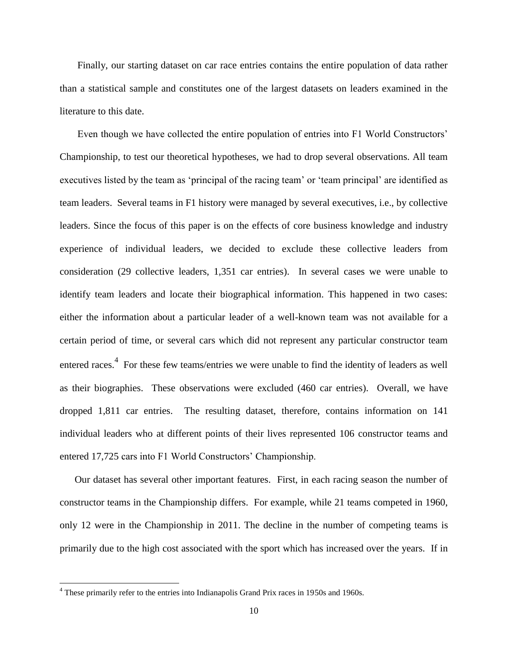Finally, our starting dataset on car race entries contains the entire population of data rather than a statistical sample and constitutes one of the largest datasets on leaders examined in the literature to this date.

Even though we have collected the entire population of entries into F1 World Constructors' Championship, to test our theoretical hypotheses, we had to drop several observations. All team executives listed by the team as 'principal of the racing team' or 'team principal' are identified as team leaders. Several teams in F1 history were managed by several executives, i.e., by collective leaders. Since the focus of this paper is on the effects of core business knowledge and industry experience of individual leaders, we decided to exclude these collective leaders from consideration (29 collective leaders, 1,351 car entries). In several cases we were unable to identify team leaders and locate their biographical information. This happened in two cases: either the information about a particular leader of a well-known team was not available for a certain period of time, or several cars which did not represent any particular constructor team entered races.<sup>4</sup> For these few teams/entries we were unable to find the identity of leaders as well as their biographies. These observations were excluded (460 car entries). Overall, we have dropped 1,811 car entries. The resulting dataset, therefore, contains information on 141 individual leaders who at different points of their lives represented 106 constructor teams and entered 17,725 cars into F1 World Constructors' Championship.

Our dataset has several other important features. First, in each racing season the number of constructor teams in the Championship differs. For example, while 21 teams competed in 1960, only 12 were in the Championship in 2011. The decline in the number of competing teams is primarily due to the high cost associated with the sport which has increased over the years. If in

 $4$  These primarily refer to the entries into Indianapolis Grand Prix races in 1950s and 1960s.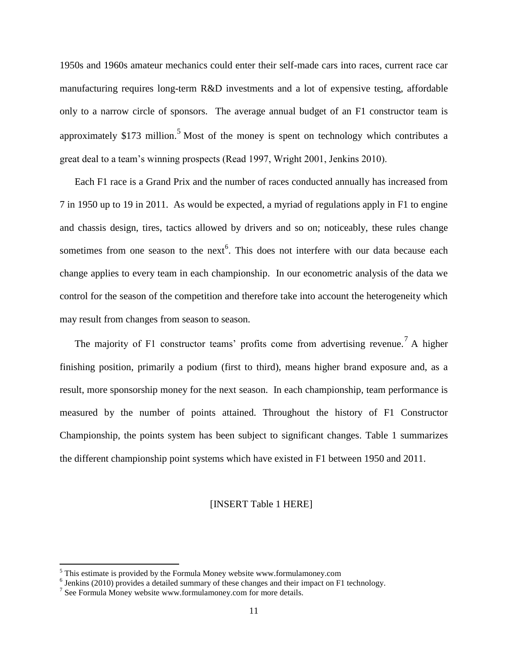1950s and 1960s amateur mechanics could enter their self-made cars into races, current race car manufacturing requires long-term R&D investments and a lot of expensive testing, affordable only to a narrow circle of sponsors. The average annual budget of an F1 constructor team is approximately \$173 million.<sup>5</sup> Most of the money is spent on technology which contributes a great deal to a team's winning prospects (Read 1997, Wright 2001, Jenkins 2010).

Each F1 race is a Grand Prix and the number of races conducted annually has increased from 7 in 1950 up to 19 in 2011. As would be expected, a myriad of regulations apply in F1 to engine and chassis design, tires, tactics allowed by drivers and so on; noticeably, these rules change sometimes from one season to the next<sup>6</sup>. This does not interfere with our data because each change applies to every team in each championship. In our econometric analysis of the data we control for the season of the competition and therefore take into account the heterogeneity which may result from changes from season to season.

The majority of F1 constructor teams' profits come from advertising revenue.<sup>7</sup> A higher finishing position, primarily a podium (first to third), means higher brand exposure and, as a result, more sponsorship money for the next season. In each championship, team performance is measured by the number of points attained. Throughout the history of F1 Constructor Championship, the points system has been subject to significant changes. Table 1 summarizes the different championship point systems which have existed in F1 between 1950 and 2011.

#### [INSERT Table 1 HERE]

 $<sup>5</sup>$  This estimate is provided by the Formula Money website [www.formulamoney.com](http://www.formulamoney.com/)</sup>

 $<sup>6</sup>$  Jenkins (2010) provides a detailed summary of these changes and their impact on F1 technology.</sup>

 $7$  See Formula Money website [www.formulamoney.com](http://www.formulamoney.com/) for more details.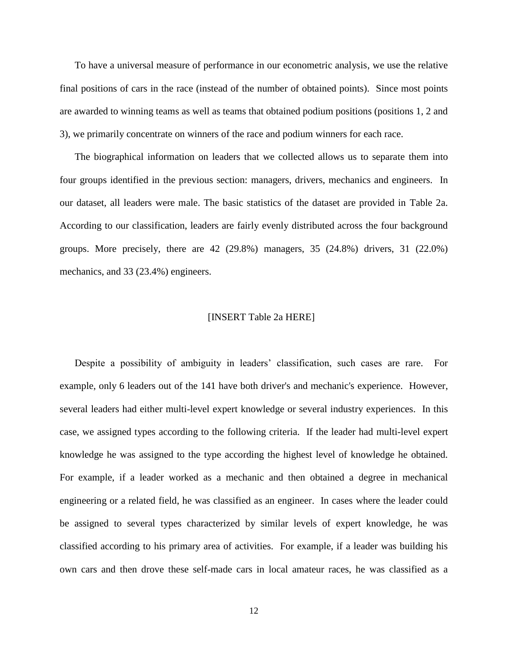To have a universal measure of performance in our econometric analysis, we use the relative final positions of cars in the race (instead of the number of obtained points). Since most points are awarded to winning teams as well as teams that obtained podium positions (positions 1, 2 and 3), we primarily concentrate on winners of the race and podium winners for each race.

The biographical information on leaders that we collected allows us to separate them into four groups identified in the previous section: managers, drivers, mechanics and engineers. In our dataset, all leaders were male. The basic statistics of the dataset are provided in Table 2a. According to our classification, leaders are fairly evenly distributed across the four background groups. More precisely, there are  $42$  (29.8%) managers,  $35$  (24.8%) drivers,  $31$  (22.0%) mechanics, and 33 (23.4%) engineers.

## [INSERT Table 2a HERE]

Despite a possibility of ambiguity in leaders' classification, such cases are rare. For example, only 6 leaders out of the 141 have both driver's and mechanic's experience. However, several leaders had either multi-level expert knowledge or several industry experiences. In this case, we assigned types according to the following criteria. If the leader had multi-level expert knowledge he was assigned to the type according the highest level of knowledge he obtained. For example, if a leader worked as a mechanic and then obtained a degree in mechanical engineering or a related field, he was classified as an engineer. In cases where the leader could be assigned to several types characterized by similar levels of expert knowledge, he was classified according to his primary area of activities. For example, if a leader was building his own cars and then drove these self-made cars in local amateur races, he was classified as a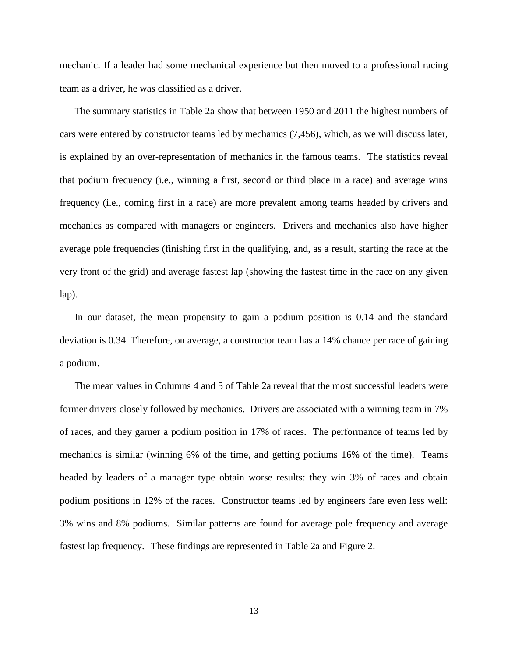mechanic. If a leader had some mechanical experience but then moved to a professional racing team as a driver, he was classified as a driver.

The summary statistics in Table 2a show that between 1950 and 2011 the highest numbers of cars were entered by constructor teams led by mechanics (7,456), which, as we will discuss later, is explained by an over-representation of mechanics in the famous teams. The statistics reveal that podium frequency (i.e., winning a first, second or third place in a race) and average wins frequency (i.e., coming first in a race) are more prevalent among teams headed by drivers and mechanics as compared with managers or engineers. Drivers and mechanics also have higher average pole frequencies (finishing first in the qualifying, and, as a result, starting the race at the very front of the grid) and average fastest lap (showing the fastest time in the race on any given lap).

In our dataset, the mean propensity to gain a podium position is 0.14 and the standard deviation is 0.34. Therefore, on average, a constructor team has a 14% chance per race of gaining a podium.

The mean values in Columns 4 and 5 of Table 2a reveal that the most successful leaders were former drivers closely followed by mechanics. Drivers are associated with a winning team in 7% of races, and they garner a podium position in 17% of races. The performance of teams led by mechanics is similar (winning 6% of the time, and getting podiums 16% of the time). Teams headed by leaders of a manager type obtain worse results: they win 3% of races and obtain podium positions in 12% of the races. Constructor teams led by engineers fare even less well: 3% wins and 8% podiums. Similar patterns are found for average pole frequency and average fastest lap frequency. These findings are represented in Table 2a and Figure 2.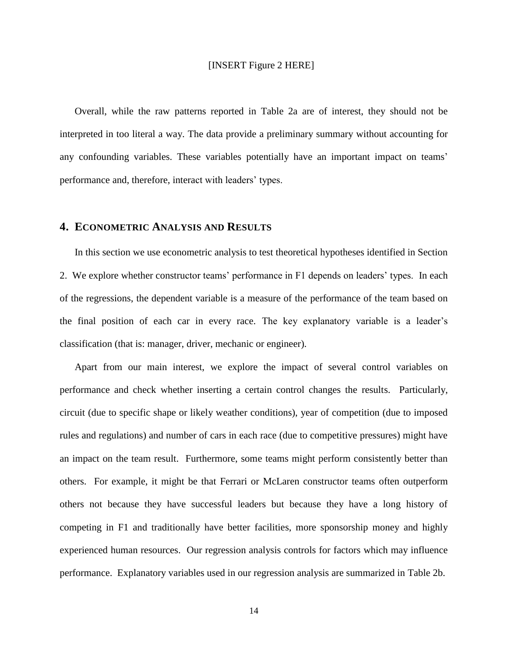#### [INSERT Figure 2 HERE]

Overall, while the raw patterns reported in Table 2a are of interest, they should not be interpreted in too literal a way. The data provide a preliminary summary without accounting for any confounding variables. These variables potentially have an important impact on teams' performance and, therefore, interact with leaders' types.

#### **4. ECONOMETRIC ANALYSIS AND RESULTS**

In this section we use econometric analysis to test theoretical hypotheses identified in Section 2. We explore whether constructor teams' performance in F1 depends on leaders' types. In each of the regressions, the dependent variable is a measure of the performance of the team based on the final position of each car in every race. The key explanatory variable is a leader's classification (that is: manager, driver, mechanic or engineer).

Apart from our main interest, we explore the impact of several control variables on performance and check whether inserting a certain control changes the results. Particularly, circuit (due to specific shape or likely weather conditions), year of competition (due to imposed rules and regulations) and number of cars in each race (due to competitive pressures) might have an impact on the team result. Furthermore, some teams might perform consistently better than others. For example, it might be that Ferrari or McLaren constructor teams often outperform others not because they have successful leaders but because they have a long history of competing in F1 and traditionally have better facilities, more sponsorship money and highly experienced human resources. Our regression analysis controls for factors which may influence performance. Explanatory variables used in our regression analysis are summarized in Table 2b.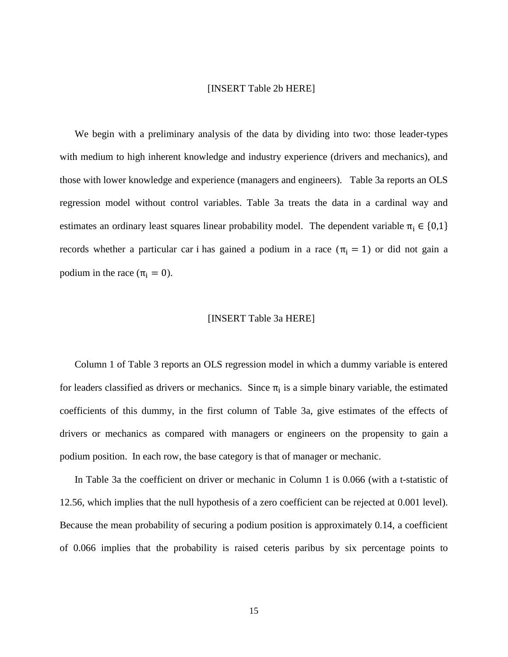#### [INSERT Table 2b HERE]

We begin with a preliminary analysis of the data by dividing into two: those leader-types with medium to high inherent knowledge and industry experience (drivers and mechanics), and those with lower knowledge and experience (managers and engineers). Table 3a reports an OLS regression model without control variables. Table 3a treats the data in a cardinal way and estimates an ordinary least squares linear probability model. The dependent variable  $\pi_i \in \{0,1\}$ records whether a particular car i has gained a podium in a race  $(\pi_i = 1)$  or did not gain a podium in the race  $(\pi_i = 0)$ .

### [INSERT Table 3a HERE]

Column 1 of Table 3 reports an OLS regression model in which a dummy variable is entered for leaders classified as drivers or mechanics. Since  $\pi_i$  is a simple binary variable, the estimated coefficients of this dummy, in the first column of Table 3a, give estimates of the effects of drivers or mechanics as compared with managers or engineers on the propensity to gain a podium position. In each row, the base category is that of manager or mechanic.

In Table 3a the coefficient on driver or mechanic in Column 1 is 0.066 (with a t-statistic of 12.56, which implies that the null hypothesis of a zero coefficient can be rejected at 0.001 level). Because the mean probability of securing a podium position is approximately 0.14, a coefficient of 0.066 implies that the probability is raised ceteris paribus by six percentage points to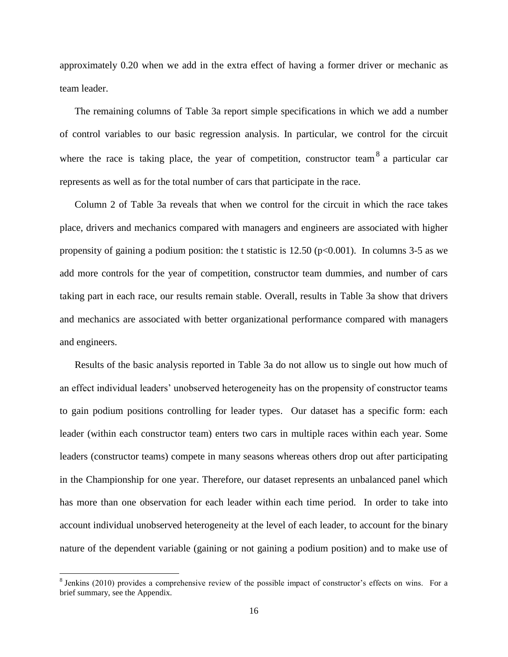approximately 0.20 when we add in the extra effect of having a former driver or mechanic as team leader.

The remaining columns of Table 3a report simple specifications in which we add a number of control variables to our basic regression analysis. In particular, we control for the circuit where the race is taking place, the year of competition, constructor team  $8^8$  a particular car represents as well as for the total number of cars that participate in the race.

Column 2 of Table 3a reveals that when we control for the circuit in which the race takes place, drivers and mechanics compared with managers and engineers are associated with higher propensity of gaining a podium position: the t statistic is  $12.50$  (p $<0.001$ ). In columns 3-5 as we add more controls for the year of competition, constructor team dummies, and number of cars taking part in each race, our results remain stable. Overall, results in Table 3a show that drivers and mechanics are associated with better organizational performance compared with managers and engineers.

Results of the basic analysis reported in Table 3a do not allow us to single out how much of an effect individual leaders' unobserved heterogeneity has on the propensity of constructor teams to gain podium positions controlling for leader types. Our dataset has a specific form: each leader (within each constructor team) enters two cars in multiple races within each year. Some leaders (constructor teams) compete in many seasons whereas others drop out after participating in the Championship for one year. Therefore, our dataset represents an unbalanced panel which has more than one observation for each leader within each time period. In order to take into account individual unobserved heterogeneity at the level of each leader, to account for the binary nature of the dependent variable (gaining or not gaining a podium position) and to make use of

 $8$  Jenkins (2010) provides a comprehensive review of the possible impact of constructor's effects on wins. For a brief summary, see the Appendix.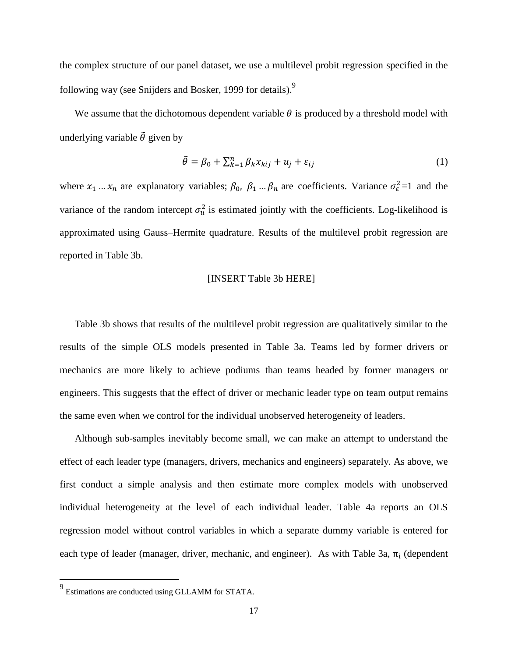the complex structure of our panel dataset, we use a multilevel probit regression specified in the following way (see Snijders and Bosker, 1999 for details).

We assume that the dichotomous dependent variable  $\theta$  is produced by a threshold model with underlying variable  $\tilde{\theta}$  given by

$$
\tilde{\theta} = \beta_0 + \sum_{k=1}^n \beta_k x_{kij} + u_j + \varepsilon_{ij}
$$
\n(1)

where  $x_1 ... x_n$  are explanatory variables;  $\beta_0$ ,  $\beta_1 ... \beta_n$  are coefficients. Variance  $\sigma_{\varepsilon}^2 = 1$  and the variance of the random intercept  $\sigma_u^2$  is estimated jointly with the coefficients. Log-likelihood is approximated using Gauss–Hermite quadrature. Results of the multilevel probit regression are reported in Table 3b.

#### [INSERT Table 3b HERE]

Table 3b shows that results of the multilevel probit regression are qualitatively similar to the results of the simple OLS models presented in Table 3a. Teams led by former drivers or mechanics are more likely to achieve podiums than teams headed by former managers or engineers. This suggests that the effect of driver or mechanic leader type on team output remains the same even when we control for the individual unobserved heterogeneity of leaders.

Although sub-samples inevitably become small, we can make an attempt to understand the effect of each leader type (managers, drivers, mechanics and engineers) separately. As above, we first conduct a simple analysis and then estimate more complex models with unobserved individual heterogeneity at the level of each individual leader. Table 4a reports an OLS regression model without control variables in which a separate dummy variable is entered for each type of leader (manager, driver, mechanic, and engineer). As with Table 3a,  $\pi_i$  (dependent

l

<sup>&</sup>lt;sup>9</sup> Estimations are conducted using GLLAMM for STATA.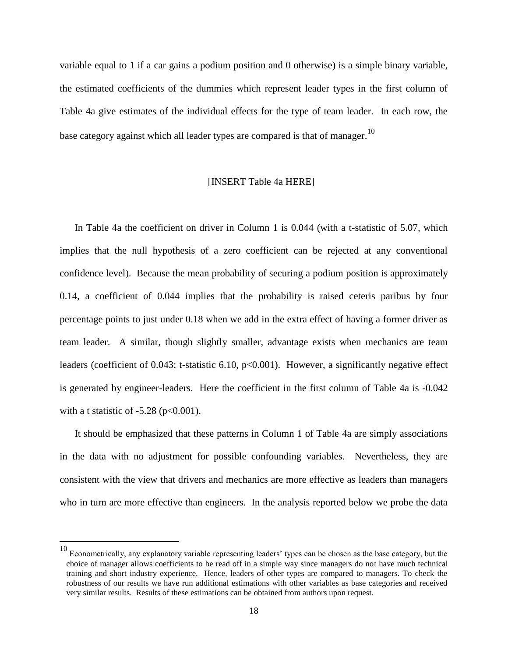variable equal to 1 if a car gains a podium position and 0 otherwise) is a simple binary variable, the estimated coefficients of the dummies which represent leader types in the first column of Table 4a give estimates of the individual effects for the type of team leader. In each row, the base category against which all leader types are compared is that of manager.<sup>10</sup>

#### [INSERT Table 4a HERE]

In Table 4a the coefficient on driver in Column 1 is 0.044 (with a t-statistic of 5.07, which implies that the null hypothesis of a zero coefficient can be rejected at any conventional confidence level). Because the mean probability of securing a podium position is approximately 0.14, a coefficient of 0.044 implies that the probability is raised ceteris paribus by four percentage points to just under 0.18 when we add in the extra effect of having a former driver as team leader. A similar, though slightly smaller, advantage exists when mechanics are team leaders (coefficient of 0.043; t-statistic 6.10, p<0.001). However, a significantly negative effect is generated by engineer-leaders. Here the coefficient in the first column of Table 4a is -0.042 with a t statistic of  $-5.28$  (p $<0.001$ ).

It should be emphasized that these patterns in Column 1 of Table 4a are simply associations in the data with no adjustment for possible confounding variables. Nevertheless, they are consistent with the view that drivers and mechanics are more effective as leaders than managers who in turn are more effective than engineers. In the analysis reported below we probe the data

<sup>&</sup>lt;sup>10</sup> Econometrically, any explanatory variable representing leaders' types can be chosen as the base category, but the choice of manager allows coefficients to be read off in a simple way since managers do not have much technical training and short industry experience. Hence, leaders of other types are compared to managers. To check the robustness of our results we have run additional estimations with other variables as base categories and received very similar results. Results of these estimations can be obtained from authors upon request.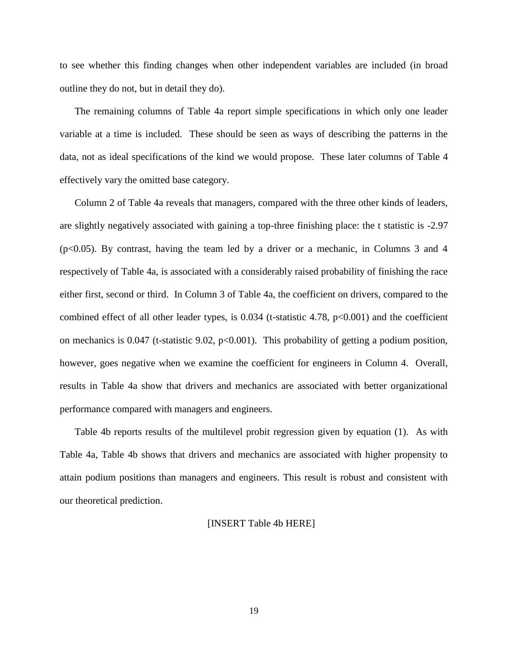to see whether this finding changes when other independent variables are included (in broad outline they do not, but in detail they do).

The remaining columns of Table 4a report simple specifications in which only one leader variable at a time is included. These should be seen as ways of describing the patterns in the data, not as ideal specifications of the kind we would propose. These later columns of Table 4 effectively vary the omitted base category.

Column 2 of Table 4a reveals that managers, compared with the three other kinds of leaders, are slightly negatively associated with gaining a top-three finishing place: the t statistic is -2.97  $(p<0.05)$ . By contrast, having the team led by a driver or a mechanic, in Columns 3 and 4 respectively of Table 4a, is associated with a considerably raised probability of finishing the race either first, second or third. In Column 3 of Table 4a, the coefficient on drivers, compared to the combined effect of all other leader types, is  $0.034$  (t-statistic 4.78, p $<0.001$ ) and the coefficient on mechanics is  $0.047$  (t-statistic 9.02, p<0.001). This probability of getting a podium position, however, goes negative when we examine the coefficient for engineers in Column 4. Overall, results in Table 4a show that drivers and mechanics are associated with better organizational performance compared with managers and engineers.

Table 4b reports results of the multilevel probit regression given by equation (1). As with Table 4a, Table 4b shows that drivers and mechanics are associated with higher propensity to attain podium positions than managers and engineers. This result is robust and consistent with our theoretical prediction.

#### [INSERT Table 4b HERE]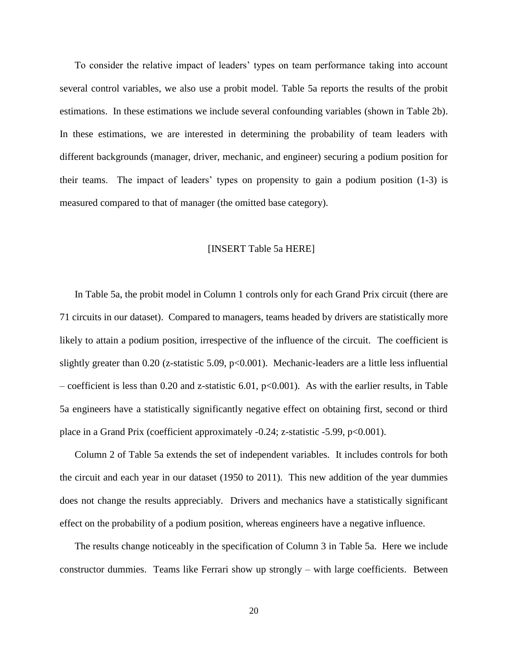To consider the relative impact of leaders' types on team performance taking into account several control variables, we also use a probit model. Table 5a reports the results of the probit estimations. In these estimations we include several confounding variables (shown in Table 2b). In these estimations, we are interested in determining the probability of team leaders with different backgrounds (manager, driver, mechanic, and engineer) securing a podium position for their teams. The impact of leaders' types on propensity to gain a podium position (1-3) is measured compared to that of manager (the omitted base category).

#### [INSERT Table 5a HERE]

In Table 5a, the probit model in Column 1 controls only for each Grand Prix circuit (there are 71 circuits in our dataset). Compared to managers, teams headed by drivers are statistically more likely to attain a podium position, irrespective of the influence of the circuit. The coefficient is slightly greater than 0.20 (z-statistic 5.09, p<0.001). Mechanic-leaders are a little less influential – coefficient is less than 0.20 and z-statistic 6.01, p<0.001). As with the earlier results, in Table 5a engineers have a statistically significantly negative effect on obtaining first, second or third place in a Grand Prix (coefficient approximately -0.24; z-statistic -5.99, p<0.001).

Column 2 of Table 5a extends the set of independent variables. It includes controls for both the circuit and each year in our dataset (1950 to 2011). This new addition of the year dummies does not change the results appreciably. Drivers and mechanics have a statistically significant effect on the probability of a podium position, whereas engineers have a negative influence.

The results change noticeably in the specification of Column 3 in Table 5a. Here we include constructor dummies. Teams like Ferrari show up strongly – with large coefficients. Between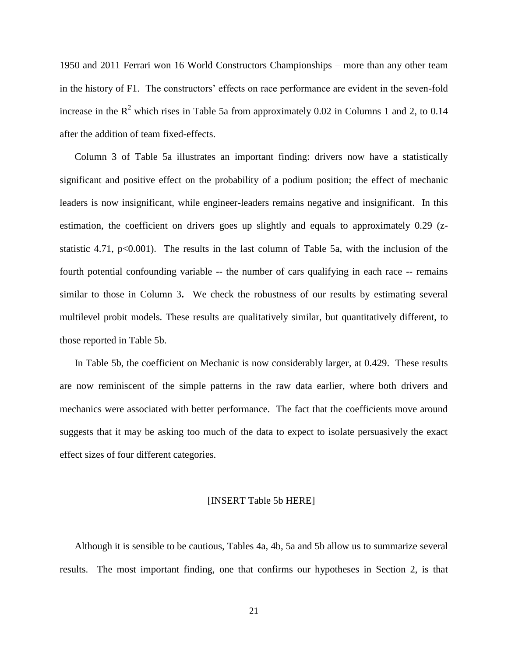1950 and 2011 Ferrari won 16 World Constructors Championships – more than any other team in the history of F1. The constructors' effects on race performance are evident in the seven-fold increase in the  $R^2$  which rises in Table 5a from approximately 0.02 in Columns 1 and 2, to 0.14 after the addition of team fixed-effects.

Column 3 of Table 5a illustrates an important finding: drivers now have a statistically significant and positive effect on the probability of a podium position; the effect of mechanic leaders is now insignificant, while engineer-leaders remains negative and insignificant. In this estimation, the coefficient on drivers goes up slightly and equals to approximately 0.29 (zstatistic 4.71, p<0.001). The results in the last column of Table 5a, with the inclusion of the fourth potential confounding variable -- the number of cars qualifying in each race -- remains similar to those in Column 3**.** We check the robustness of our results by estimating several multilevel probit models. These results are qualitatively similar, but quantitatively different, to those reported in Table 5b.

In Table 5b, the coefficient on Mechanic is now considerably larger, at 0.429. These results are now reminiscent of the simple patterns in the raw data earlier, where both drivers and mechanics were associated with better performance. The fact that the coefficients move around suggests that it may be asking too much of the data to expect to isolate persuasively the exact effect sizes of four different categories.

#### [INSERT Table 5b HERE]

Although it is sensible to be cautious, Tables 4a, 4b, 5a and 5b allow us to summarize several results. The most important finding, one that confirms our hypotheses in Section 2, is that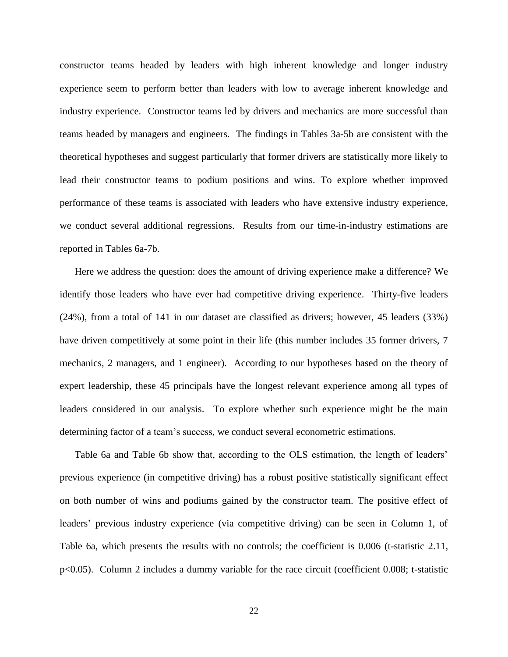constructor teams headed by leaders with high inherent knowledge and longer industry experience seem to perform better than leaders with low to average inherent knowledge and industry experience. Constructor teams led by drivers and mechanics are more successful than teams headed by managers and engineers. The findings in Tables 3a-5b are consistent with the theoretical hypotheses and suggest particularly that former drivers are statistically more likely to lead their constructor teams to podium positions and wins. To explore whether improved performance of these teams is associated with leaders who have extensive industry experience, we conduct several additional regressions. Results from our time-in-industry estimations are reported in Tables 6a-7b.

Here we address the question: does the amount of driving experience make a difference? We identify those leaders who have ever had competitive driving experience. Thirty-five leaders (24%), from a total of 141 in our dataset are classified as drivers; however, 45 leaders (33%) have driven competitively at some point in their life (this number includes 35 former drivers, 7 mechanics, 2 managers, and 1 engineer). According to our hypotheses based on the theory of expert leadership, these 45 principals have the longest relevant experience among all types of leaders considered in our analysis. To explore whether such experience might be the main determining factor of a team's success, we conduct several econometric estimations.

Table 6a and Table 6b show that, according to the OLS estimation, the length of leaders' previous experience (in competitive driving) has a robust positive statistically significant effect on both number of wins and podiums gained by the constructor team. The positive effect of leaders' previous industry experience (via competitive driving) can be seen in Column 1, of Table 6a, which presents the results with no controls; the coefficient is 0.006 (t-statistic 2.11, p<0.05). Column 2 includes a dummy variable for the race circuit (coefficient 0.008; t-statistic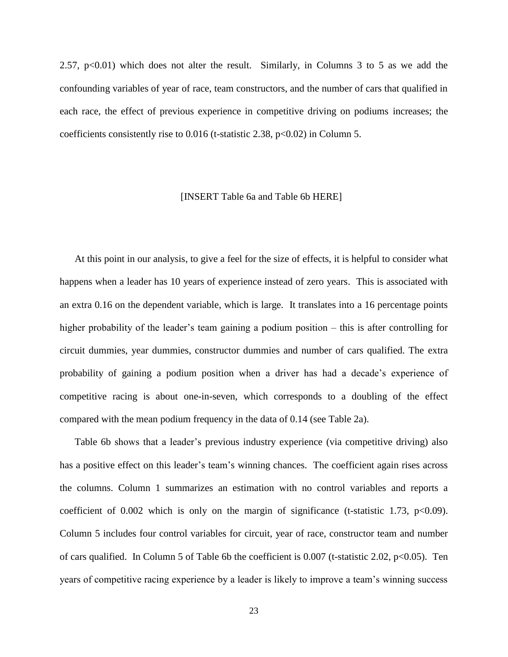2.57,  $p<0.01$ ) which does not alter the result. Similarly, in Columns 3 to 5 as we add the confounding variables of year of race, team constructors, and the number of cars that qualified in each race, the effect of previous experience in competitive driving on podiums increases; the coefficients consistently rise to  $0.016$  (t-statistic 2.38, p<0.02) in Column 5.

#### [INSERT Table 6a and Table 6b HERE]

At this point in our analysis, to give a feel for the size of effects, it is helpful to consider what happens when a leader has 10 years of experience instead of zero years. This is associated with an extra 0.16 on the dependent variable, which is large. It translates into a 16 percentage points higher probability of the leader's team gaining a podium position – this is after controlling for circuit dummies, year dummies, constructor dummies and number of cars qualified. The extra probability of gaining a podium position when a driver has had a decade's experience of competitive racing is about one-in-seven, which corresponds to a doubling of the effect compared with the mean podium frequency in the data of 0.14 (see Table 2a).

Table 6b shows that a leader's previous industry experience (via competitive driving) also has a positive effect on this leader's team's winning chances. The coefficient again rises across the columns. Column 1 summarizes an estimation with no control variables and reports a coefficient of  $0.002$  which is only on the margin of significance (t-statistic 1.73, p<0.09). Column 5 includes four control variables for circuit, year of race, constructor team and number of cars qualified. In Column 5 of Table 6b the coefficient is 0.007 (t-statistic 2.02, p<0.05). Ten years of competitive racing experience by a leader is likely to improve a team's winning success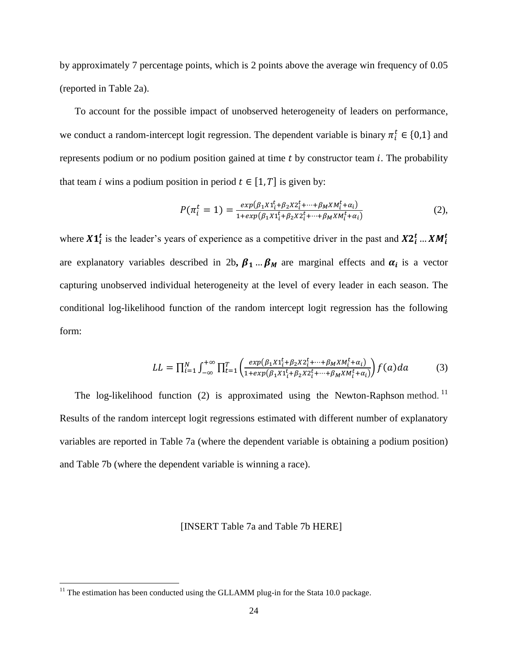by approximately 7 percentage points, which is 2 points above the average win frequency of 0.05 (reported in Table 2a).

To account for the possible impact of unobserved heterogeneity of leaders on performance, we conduct a random-intercept logit regression. The dependent variable is binary  $\pi_i^t \in \{0,1\}$  and represents podium or no podium position gained at time  $t$  by constructor team  $i$ . The probability that team *i* wins a podium position in period  $t \in [1, T]$  is given by:

$$
P(\pi_i^t = 1) = \frac{exp(\beta_1 X 1_i^t + \beta_2 X 2_i^t + \dots + \beta_M X M_i^t + \alpha_i)}{1 + exp(\beta_1 X 1_i^t + \beta_2 X 2_i^t + \dots + \beta_M X M_i^t + \alpha_i)}
$$
(2),

where  $X1_i^t$  is the leader's years of experience as a competitive driver in the past and  $X2_i^t...XM_i^t$ are explanatory variables described in 2b,  $\beta_1$  ...  $\beta_M$  are marginal effects and  $\alpha_i$  is a vector capturing unobserved individual heterogeneity at the level of every leader in each season. The conditional log-likelihood function of the random intercept logit regression has the following form:

$$
LL = \prod_{i=1}^{N} \int_{-\infty}^{+\infty} \prod_{t=1}^{T} \left( \frac{exp(\beta_1 X 1_t^t + \beta_2 X 2_t^t + \dots + \beta_M X M_t^t + \alpha_i)}{1 + exp(\beta_1 X 1_t^t + \beta_2 X 2_t^t + \dots + \beta_M X M_t^t + \alpha_i)} \right) f(a) da \tag{3}
$$

The log-likelihood function (2) is approximated using the Newton-Raphson method.<sup>11</sup> Results of the random intercept logit regressions estimated with different number of explanatory variables are reported in Table 7a (where the dependent variable is obtaining a podium position) and Table 7b (where the dependent variable is winning a race).

#### [INSERT Table 7a and Table 7b HERE]

 $11$ <sup>11</sup> The estimation has been conducted using the GLLAMM plug-in for the Stata 10.0 package.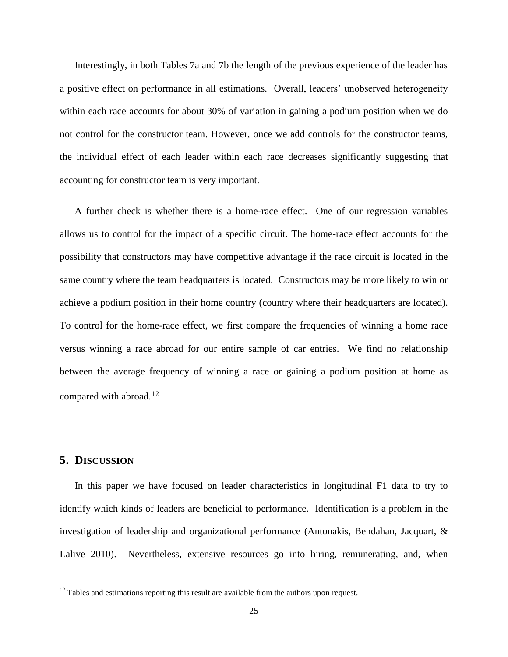Interestingly, in both Tables 7a and 7b the length of the previous experience of the leader has a positive effect on performance in all estimations. Overall, leaders' unobserved heterogeneity within each race accounts for about 30% of variation in gaining a podium position when we do not control for the constructor team. However, once we add controls for the constructor teams, the individual effect of each leader within each race decreases significantly suggesting that accounting for constructor team is very important.

A further check is whether there is a home-race effect. One of our regression variables allows us to control for the impact of a specific circuit. The home-race effect accounts for the possibility that constructors may have competitive advantage if the race circuit is located in the same country where the team headquarters is located. Constructors may be more likely to win or achieve a podium position in their home country (country where their headquarters are located). To control for the home-race effect, we first compare the frequencies of winning a home race versus winning a race abroad for our entire sample of car entries. We find no relationship between the average frequency of winning a race or gaining a podium position at home as compared with abroad.<sup>12</sup>

## **5. DISCUSSION**

 $\overline{\phantom{a}}$ 

In this paper we have focused on leader characteristics in longitudinal F1 data to try to identify which kinds of leaders are beneficial to performance. Identification is a problem in the investigation of leadership and organizational performance (Antonakis, Bendahan, Jacquart, & Lalive 2010). Nevertheless, extensive resources go into hiring, remunerating, and, when

 $12$  Tables and estimations reporting this result are available from the authors upon request.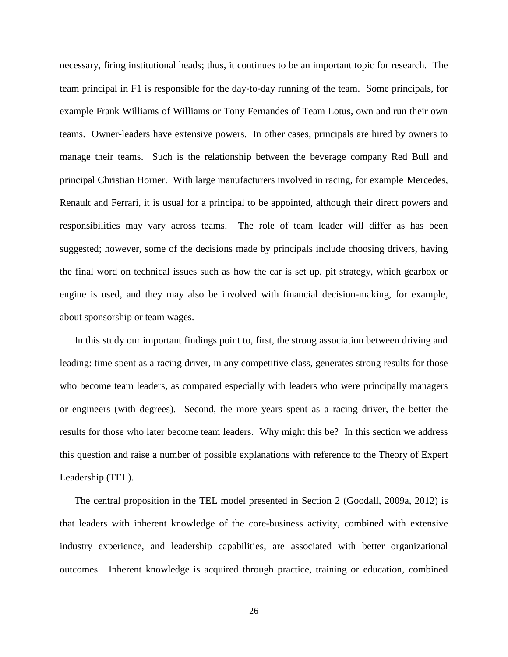necessary, firing institutional heads; thus, it continues to be an important topic for research. The team principal in F1 is responsible for the day-to-day running of the team. Some principals, for example Frank Williams of Williams or Tony Fernandes of Team Lotus, own and run their own teams. Owner-leaders have extensive powers. In other cases, principals are hired by owners to manage their teams. Such is the relationship between the beverage company Red Bull and principal Christian Horner. With large manufacturers involved in racing, for example Mercedes, Renault and Ferrari, it is usual for a principal to be appointed, although their direct powers and responsibilities may vary across teams. The role of team leader will differ as has been suggested; however, some of the decisions made by principals include choosing drivers, having the final word on technical issues such as how the car is set up, pit strategy, which gearbox or engine is used, and they may also be involved with financial decision-making, for example, about sponsorship or team wages.

In this study our important findings point to, first, the strong association between driving and leading: time spent as a racing driver, in any competitive class, generates strong results for those who become team leaders, as compared especially with leaders who were principally managers or engineers (with degrees). Second, the more years spent as a racing driver, the better the results for those who later become team leaders. Why might this be? In this section we address this question and raise a number of possible explanations with reference to the Theory of Expert Leadership (TEL).

The central proposition in the TEL model presented in Section 2 (Goodall, 2009a, 2012) is that leaders with inherent knowledge of the core-business activity, combined with extensive industry experience, and leadership capabilities, are associated with better organizational outcomes. Inherent knowledge is acquired through practice, training or education, combined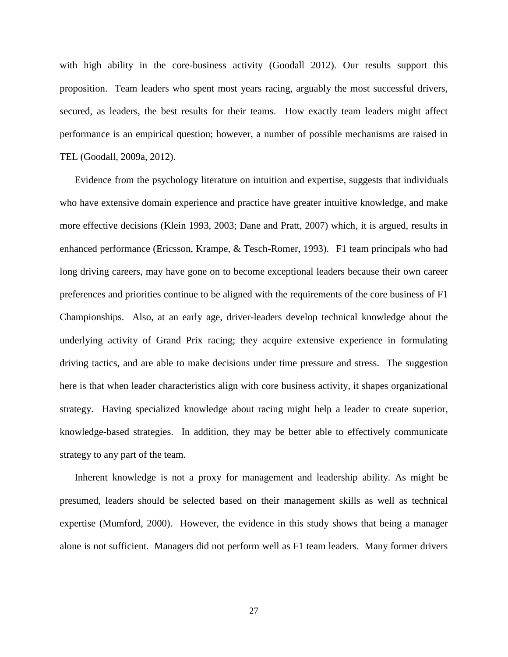with high ability in the core-business activity (Goodall 2012). Our results support this proposition. Team leaders who spent most years racing, arguably the most successful drivers, secured, as leaders, the best results for their teams. How exactly team leaders might affect performance is an empirical question; however, a number of possible mechanisms are raised in TEL (Goodall, 2009a, 2012).

Evidence from the psychology literature on intuition and expertise, suggests that individuals who have extensive domain experience and practice have greater intuitive knowledge, and make more effective decisions (Klein 1993, 2003; Dane and Pratt, 2007) which, it is argued, results in enhanced performance (Ericsson, Krampe, & Tesch-Romer, 1993). F1 team principals who had long driving careers, may have gone on to become exceptional leaders because their own career preferences and priorities continue to be aligned with the requirements of the core business of F1 Championships. Also, at an early age, driver-leaders develop technical knowledge about the underlying activity of Grand Prix racing; they acquire extensive experience in formulating driving tactics, and are able to make decisions under time pressure and stress. The suggestion here is that when leader characteristics align with core business activity, it shapes organizational strategy. Having specialized knowledge about racing might help a leader to create superior, knowledge-based strategies. In addition, they may be better able to effectively communicate strategy to any part of the team.

Inherent knowledge is not a proxy for management and leadership ability. As might be presumed, leaders should be selected based on their management skills as well as technical expertise (Mumford, 2000). However, the evidence in this study shows that being a manager alone is not sufficient. Managers did not perform well as F1 team leaders. Many former drivers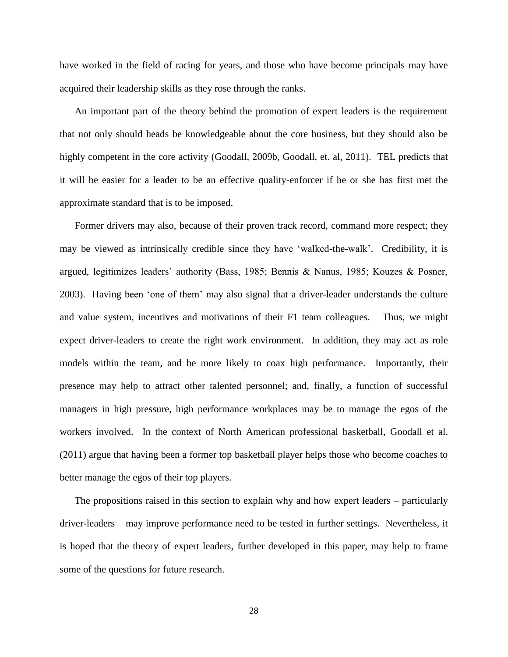have worked in the field of racing for years, and those who have become principals may have acquired their leadership skills as they rose through the ranks.

An important part of the theory behind the promotion of expert leaders is the requirement that not only should heads be knowledgeable about the core business, but they should also be highly competent in the core activity (Goodall, 2009b, Goodall, et. al, 2011). TEL predicts that it will be easier for a leader to be an effective quality-enforcer if he or she has first met the approximate standard that is to be imposed.

Former drivers may also, because of their proven track record, command more respect; they may be viewed as intrinsically credible since they have 'walked-the-walk'. Credibility, it is argued, legitimizes leaders' authority (Bass, 1985; Bennis & Nanus, 1985; Kouzes & Posner, 2003). Having been 'one of them' may also signal that a driver-leader understands the culture and value system, incentives and motivations of their F1 team colleagues. Thus, we might expect driver-leaders to create the right work environment. In addition, they may act as role models within the team, and be more likely to coax high performance. Importantly, their presence may help to attract other talented personnel; and, finally, a function of successful managers in high pressure, high performance workplaces may be to manage the egos of the workers involved. In the context of North American professional basketball, Goodall et al. (2011) argue that having been a former top basketball player helps those who become coaches to better manage the egos of their top players.

The propositions raised in this section to explain why and how expert leaders – particularly driver-leaders – may improve performance need to be tested in further settings. Nevertheless, it is hoped that the theory of expert leaders, further developed in this paper, may help to frame some of the questions for future research.

28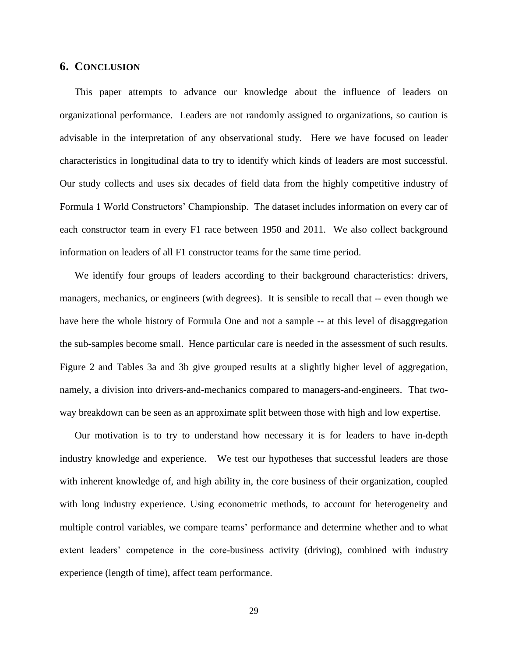## **6. CONCLUSION**

This paper attempts to advance our knowledge about the influence of leaders on organizational performance. Leaders are not randomly assigned to organizations, so caution is advisable in the interpretation of any observational study. Here we have focused on leader characteristics in longitudinal data to try to identify which kinds of leaders are most successful. Our study collects and uses six decades of field data from the highly competitive industry of Formula 1 World Constructors' Championship. The dataset includes information on every car of each constructor team in every F1 race between 1950 and 2011. We also collect background information on leaders of all F1 constructor teams for the same time period.

We identify four groups of leaders according to their background characteristics: drivers, managers, mechanics, or engineers (with degrees). It is sensible to recall that -- even though we have here the whole history of Formula One and not a sample -- at this level of disaggregation the sub-samples become small. Hence particular care is needed in the assessment of such results. Figure 2 and Tables 3a and 3b give grouped results at a slightly higher level of aggregation, namely, a division into drivers-and-mechanics compared to managers-and-engineers. That twoway breakdown can be seen as an approximate split between those with high and low expertise.

Our motivation is to try to understand how necessary it is for leaders to have in-depth industry knowledge and experience. We test our hypotheses that successful leaders are those with inherent knowledge of, and high ability in, the core business of their organization, coupled with long industry experience. Using econometric methods, to account for heterogeneity and multiple control variables, we compare teams' performance and determine whether and to what extent leaders' competence in the core-business activity (driving), combined with industry experience (length of time), affect team performance.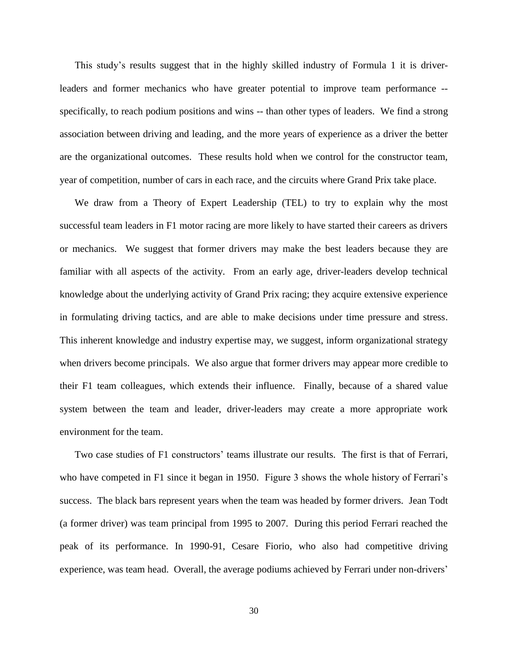This study's results suggest that in the highly skilled industry of Formula 1 it is driverleaders and former mechanics who have greater potential to improve team performance - specifically, to reach podium positions and wins -- than other types of leaders. We find a strong association between driving and leading, and the more years of experience as a driver the better are the organizational outcomes. These results hold when we control for the constructor team, year of competition, number of cars in each race, and the circuits where Grand Prix take place.

We draw from a Theory of Expert Leadership (TEL) to try to explain why the most successful team leaders in F1 motor racing are more likely to have started their careers as drivers or mechanics. We suggest that former drivers may make the best leaders because they are familiar with all aspects of the activity. From an early age, driver-leaders develop technical knowledge about the underlying activity of Grand Prix racing; they acquire extensive experience in formulating driving tactics, and are able to make decisions under time pressure and stress. This inherent knowledge and industry expertise may, we suggest, inform organizational strategy when drivers become principals. We also argue that former drivers may appear more credible to their F1 team colleagues, which extends their influence. Finally, because of a shared value system between the team and leader, driver-leaders may create a more appropriate work environment for the team.

Two case studies of F1 constructors' teams illustrate our results. The first is that of Ferrari, who have competed in F1 since it began in 1950. Figure 3 shows the whole history of Ferrari's success. The black bars represent years when the team was headed by former drivers. Jean Todt (a former driver) was team principal from 1995 to 2007. During this period Ferrari reached the peak of its performance. In 1990-91, Cesare Fiorio, who also had competitive driving experience, was team head. Overall, the average podiums achieved by Ferrari under non-drivers'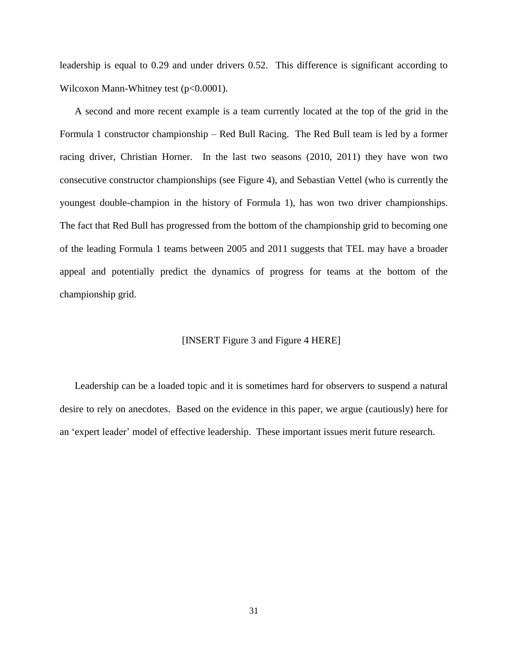leadership is equal to 0.29 and under drivers 0.52. This difference is significant according to Wilcoxon Mann-Whitney test (p<0.0001).

A second and more recent example is a team currently located at the top of the grid in the Formula 1 constructor championship – Red Bull Racing. The Red Bull team is led by a former racing driver, Christian Horner. In the last two seasons (2010, 2011) they have won two consecutive constructor championships (see Figure 4), and Sebastian Vettel (who is currently the youngest double-champion in the history of Formula 1), has won two driver championships. The fact that Red Bull has progressed from the bottom of the championship grid to becoming one of the leading Formula 1 teams between 2005 and 2011 suggests that TEL may have a broader appeal and potentially predict the dynamics of progress for teams at the bottom of the championship grid.

#### [INSERT Figure 3 and Figure 4 HERE]

Leadership can be a loaded topic and it is sometimes hard for observers to suspend a natural desire to rely on anecdotes. Based on the evidence in this paper, we argue (cautiously) here for an 'expert leader' model of effective leadership. These important issues merit future research.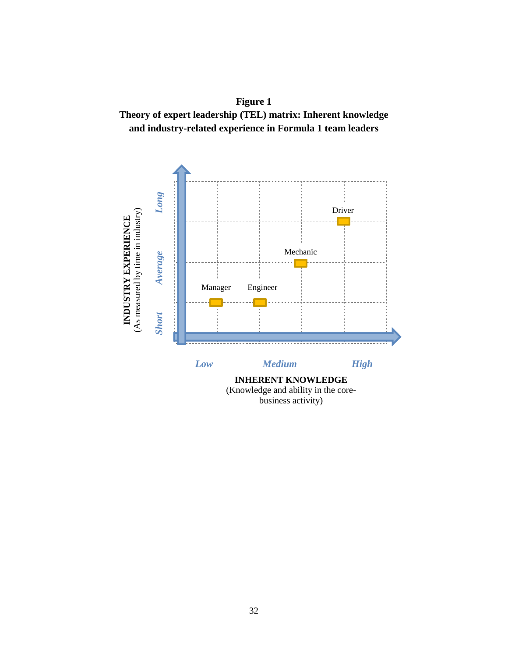

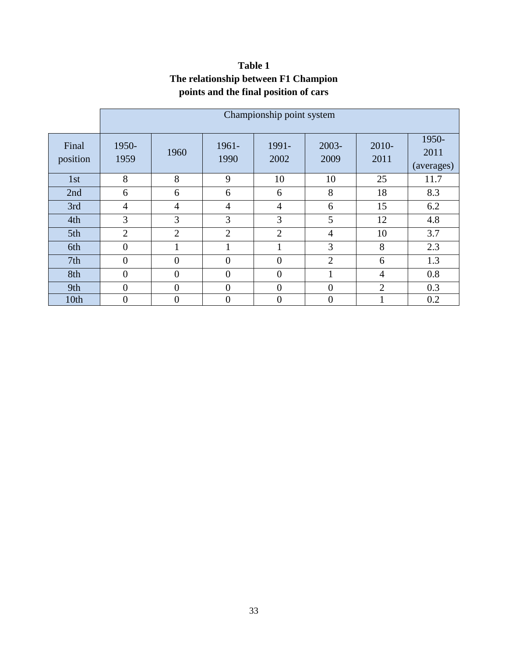|                   | Championship point system |                |                |                |                  |                |                             |  |
|-------------------|---------------------------|----------------|----------------|----------------|------------------|----------------|-----------------------------|--|
| Final<br>position | 1950-<br>1959             | 1960           | 1961-<br>1990  | 1991-<br>2002  | $2003 -$<br>2009 | 2010-<br>2011  | 1950-<br>2011<br>(averages) |  |
| 1st               | 8                         | 8              | 9              | 10             | 10               | 25             | 11.7                        |  |
| 2nd               | 6                         | 6              | 6              | 6              | 8                | 18             | 8.3                         |  |
| 3rd               | $\overline{4}$            | $\overline{4}$ | $\overline{4}$ | $\overline{4}$ | 6                | 15             | 6.2                         |  |
| 4th               | 3                         | 3              | 3              | 3              | 5                | 12             | 4.8                         |  |
| 5th               | $\overline{2}$            | $\overline{2}$ | $\overline{2}$ | $\overline{2}$ | $\overline{4}$   | 10             | 3.7                         |  |
| 6th               | $\overline{0}$            |                | 1              |                | 3                | 8              | 2.3                         |  |
| 7 <sup>th</sup>   | 0                         | $\overline{0}$ | $\overline{0}$ | $\overline{0}$ | $\overline{2}$   | 6              | 1.3                         |  |
| 8th               | $\overline{0}$            | $\theta$       | $\overline{0}$ | $\overline{0}$ |                  | 4              | 0.8                         |  |
| 9th               | 0                         | $\overline{0}$ | $\overline{0}$ | $\overline{0}$ | $\theta$         | $\overline{2}$ | 0.3                         |  |
| 10th              | $\overline{0}$            | $\overline{0}$ | $\mathbf{0}$   | $\overline{0}$ | $\overline{0}$   |                | 0.2                         |  |

## **Table 1 The relationship between F1 Champion points and the final position of cars**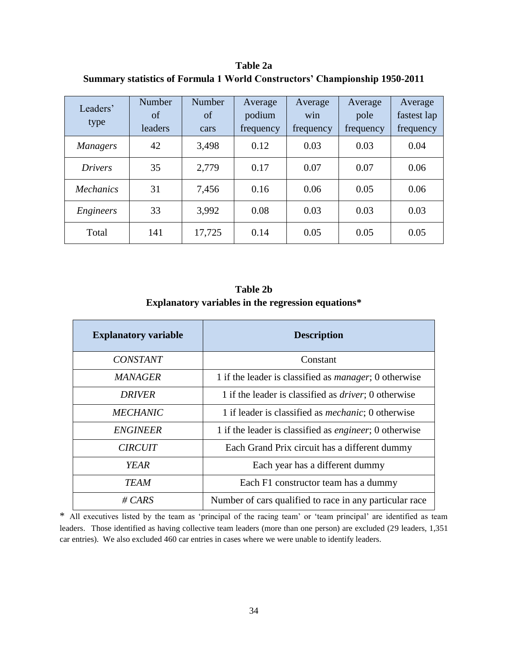**Table 2a Summary statistics of Formula 1 World Constructors' Championship 1950-2011**

| Leaders'<br>type | Number<br>of<br>leaders | Number<br>of<br>cars | Average<br>podium<br>frequency | Average<br>win<br>frequency | Average<br>pole<br>frequency | Average<br>fastest lap<br>frequency |
|------------------|-------------------------|----------------------|--------------------------------|-----------------------------|------------------------------|-------------------------------------|
| <b>Managers</b>  | 42                      | 3,498                | 0.12                           | 0.03                        | 0.03                         | 0.04                                |
| <b>Drivers</b>   | 35                      | 2,779                | 0.17                           | 0.07                        | 0.07                         | 0.06                                |
| <i>Mechanics</i> | 31                      | 7,456                | 0.16                           | 0.06                        | 0.05                         | 0.06                                |
| Engineers        | 33                      | 3,992                | 0.08                           | 0.03                        | 0.03                         | 0.03                                |
| Total            | 141                     | 17,725               | 0.14                           | 0.05                        | 0.05                         | 0.05                                |

## **Table 2b Explanatory variables in the regression equations\***

| <b>Explanatory variable</b> | <b>Description</b>                                             |
|-----------------------------|----------------------------------------------------------------|
| <b>CONSTANT</b>             | Constant                                                       |
| <i>MANAGER</i>              | 1 if the leader is classified as <i>manager</i> ; 0 otherwise  |
| <b>DRIVER</b>               | 1 if the leader is classified as <i>driver</i> ; 0 otherwise   |
| <b>MECHANIC</b>             | 1 if leader is classified as <i>mechanic</i> ; 0 otherwise     |
| <b>ENGINEER</b>             | 1 if the leader is classified as <i>engineer</i> ; 0 otherwise |
| <b>CIRCUIT</b>              | Each Grand Prix circuit has a different dummy                  |
| <b>YEAR</b>                 | Each year has a different dummy                                |
| <b>TEAM</b>                 | Each F1 constructor team has a dummy                           |
| # $CARS$                    | Number of cars qualified to race in any particular race        |

\* All executives listed by the team as 'principal of the racing team' or 'team principal' are identified as team leaders. Those identified as having collective team leaders (more than one person) are excluded (29 leaders, 1,351 car entries). We also excluded 460 car entries in cases where we were unable to identify leaders.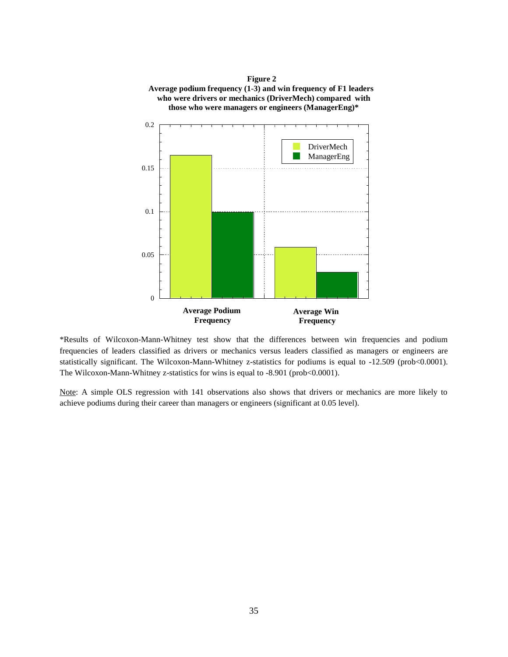

\*Results of Wilcoxon-Mann-Whitney test show that the differences between win frequencies and podium frequencies of leaders classified as drivers or mechanics versus leaders classified as managers or engineers are statistically significant. The Wilcoxon-Mann-Whitney z-statistics for podiums is equal to -12.509 (prob<0.0001). The Wilcoxon-Mann-Whitney z-statistics for wins is equal to -8.901 (prob<0.0001).

Note: A simple OLS regression with 141 observations also shows that drivers or mechanics are more likely to achieve podiums during their career than managers or engineers (significant at 0.05 level).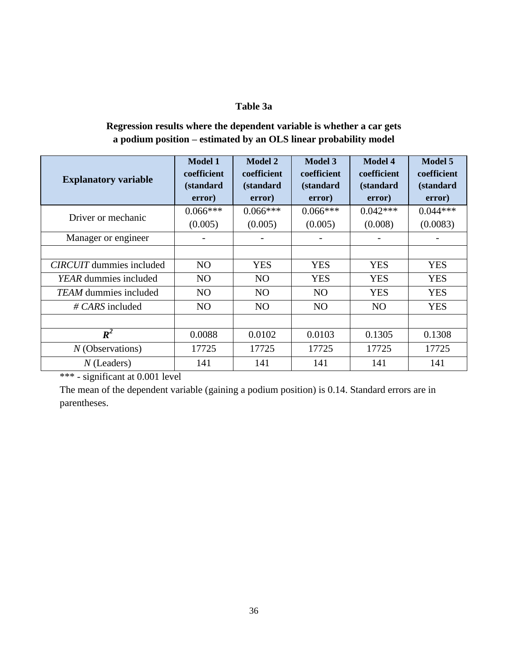## **Table 3a**

## **Regression results where the dependent variable is whether a car gets a podium position – estimated by an OLS linear probability model**

| <b>Explanatory variable</b>     | <b>Model 1</b><br>coefficient<br><i>(standard)</i><br>error) | <b>Model 2</b><br>coefficient<br>(standard<br>error) | <b>Model 3</b><br>coefficient<br><i>(standard)</i><br>error) | <b>Model 4</b><br>coefficient<br>(standard<br>error) | <b>Model 5</b><br>coefficient<br><i>(standard)</i><br>error) |
|---------------------------------|--------------------------------------------------------------|------------------------------------------------------|--------------------------------------------------------------|------------------------------------------------------|--------------------------------------------------------------|
| Driver or mechanic              | $0.066***$<br>(0.005)                                        | $0.066***$<br>(0.005)                                | $0.066***$<br>(0.005)                                        | $0.042***$<br>(0.008)                                | $0.044***$<br>(0.0083)                                       |
| Manager or engineer             |                                                              |                                                      |                                                              |                                                      |                                                              |
|                                 |                                                              |                                                      |                                                              |                                                      |                                                              |
| <b>CIRCUIT</b> dummies included | N <sub>O</sub>                                               | <b>YES</b>                                           | <b>YES</b>                                                   | <b>YES</b>                                           | <b>YES</b>                                                   |
| <i>YEAR</i> dummies included    | N <sub>O</sub>                                               | N <sub>O</sub>                                       | <b>YES</b>                                                   | <b>YES</b>                                           | <b>YES</b>                                                   |
| <b>TEAM</b> dummies included    | N <sub>O</sub>                                               | N <sub>O</sub>                                       | N <sub>O</sub>                                               | <b>YES</b>                                           | <b>YES</b>                                                   |
| $\# CARS$ included              | NO                                                           | N <sub>O</sub>                                       | N <sub>O</sub>                                               | N <sub>O</sub>                                       | <b>YES</b>                                                   |
|                                 |                                                              |                                                      |                                                              |                                                      |                                                              |
| $R^2$                           | 0.0088                                                       | 0.0102                                               | 0.0103                                                       | 0.1305                                               | 0.1308                                                       |
| $N$ (Observations)              | 17725                                                        | 17725                                                | 17725                                                        | 17725                                                | 17725                                                        |
| $N$ (Leaders)                   | 141                                                          | 141                                                  | 141                                                          | 141                                                  | 141                                                          |

\*\*\* - significant at 0.001 level

The mean of the dependent variable (gaining a podium position) is 0.14. Standard errors are in parentheses.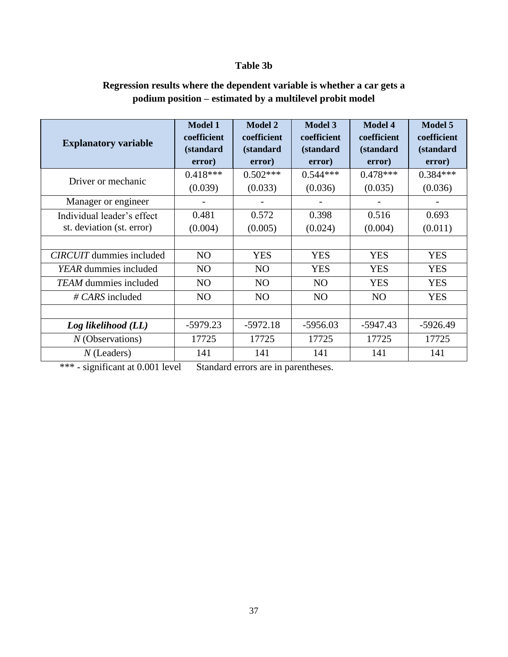## **Table 3b**

| Regression results where the dependent variable is whether a car gets a |  |
|-------------------------------------------------------------------------|--|
| podium position – estimated by a multilevel probit model                |  |

| <b>Explanatory variable</b>                             | <b>Model 1</b><br>coefficient<br><i>(standard)</i><br>error) | <b>Model 2</b><br>coefficient<br>(standard<br>error) | <b>Model 3</b><br>coefficient<br>(standard<br>error) | <b>Model 4</b><br>coefficient<br><i>(standard)</i><br>error) | <b>Model 5</b><br>coefficient<br>(standard<br>error) |
|---------------------------------------------------------|--------------------------------------------------------------|------------------------------------------------------|------------------------------------------------------|--------------------------------------------------------------|------------------------------------------------------|
| Driver or mechanic                                      | $0.418***$<br>(0.039)                                        | $0.502***$<br>(0.033)                                | $0.544***$<br>(0.036)                                | $0.478***$<br>(0.035)                                        | $0.384***$<br>(0.036)                                |
| Manager or engineer                                     |                                                              |                                                      |                                                      |                                                              |                                                      |
| Individual leader's effect<br>st. deviation (st. error) | 0.481<br>(0.004)                                             | 0.572<br>(0.005)                                     | 0.398<br>(0.024)                                     | 0.516<br>(0.004)                                             | 0.693<br>(0.011)                                     |
|                                                         |                                                              |                                                      |                                                      |                                                              |                                                      |
| <b>CIRCUIT</b> dummies included                         | N <sub>O</sub>                                               | <b>YES</b>                                           | <b>YES</b>                                           | <b>YES</b>                                                   | <b>YES</b>                                           |
| YEAR dummies included                                   | N <sub>O</sub>                                               | N <sub>O</sub>                                       | <b>YES</b>                                           | <b>YES</b>                                                   | <b>YES</b>                                           |
| <b>TEAM</b> dummies included                            | NO                                                           | NO                                                   | N <sub>O</sub>                                       | <b>YES</b>                                                   | <b>YES</b>                                           |
| $\# \text{CARS}$ included                               | NO                                                           | NO                                                   | N <sub>O</sub>                                       | NO                                                           | <b>YES</b>                                           |
|                                                         |                                                              |                                                      |                                                      |                                                              |                                                      |
| Log likelihood (LL)                                     | $-5979.23$                                                   | $-5972.18$                                           | $-5956.03$                                           | $-5947.43$                                                   | $-5926.49$                                           |
| $N$ (Observations)                                      | 17725                                                        | 17725                                                | 17725                                                | 17725                                                        | 17725                                                |
| $N$ (Leaders)                                           | 141                                                          | 141                                                  | 141                                                  | 141                                                          | 141                                                  |

\*\*\* - significant at 0.001 level Standard errors are in parentheses.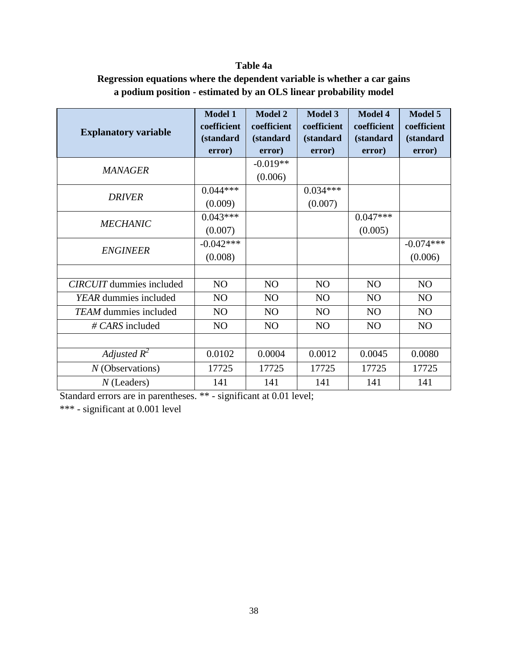## **Table 4a**

## **Regression equations where the dependent variable is whether a car gains a podium position - estimated by an OLS linear probability model**

| <b>Explanatory variable</b>     | <b>Model 1</b><br>coefficient<br><i>(standard)</i> | <b>Model 2</b><br>coefficient<br><i>(standard)</i> | <b>Model 3</b><br>coefficient<br>(standard | <b>Model 4</b><br>coefficient<br>(standard | <b>Model 5</b><br>coefficient<br>(standard |
|---------------------------------|----------------------------------------------------|----------------------------------------------------|--------------------------------------------|--------------------------------------------|--------------------------------------------|
|                                 | error)                                             | error)                                             | error)                                     | error)                                     | error)                                     |
| <i>MANAGER</i>                  |                                                    | $-0.019**$                                         |                                            |                                            |                                            |
|                                 |                                                    | (0.006)                                            |                                            |                                            |                                            |
| <b>DRIVER</b>                   | $0.044***$                                         |                                                    | $0.034***$                                 |                                            |                                            |
|                                 | (0.009)                                            |                                                    | (0.007)                                    |                                            |                                            |
|                                 | $0.043***$                                         |                                                    |                                            | $0.047***$                                 |                                            |
| <b>MECHANIC</b>                 | (0.007)                                            |                                                    |                                            | (0.005)                                    |                                            |
|                                 | $-0.042***$                                        |                                                    |                                            |                                            | $-0.074***$                                |
| <b>ENGINEER</b>                 | (0.008)                                            |                                                    |                                            |                                            | (0.006)                                    |
|                                 |                                                    |                                                    |                                            |                                            |                                            |
| <b>CIRCUIT</b> dummies included | NO                                                 | NO                                                 | NO                                         | N <sub>O</sub>                             | NO                                         |
| YEAR dummies included           | N <sub>O</sub>                                     | NO                                                 | N <sub>O</sub>                             | NO                                         | N <sub>O</sub>                             |
| TEAM dummies included           | NO                                                 | NO                                                 | NO                                         | NO                                         | N <sub>O</sub>                             |
| $\# \text{CARS}$ included       | N <sub>O</sub>                                     | NO                                                 | N <sub>O</sub>                             | NO                                         | N <sub>O</sub>                             |
|                                 |                                                    |                                                    |                                            |                                            |                                            |
| Adjusted $R^2$                  | 0.0102                                             | 0.0004                                             | 0.0012                                     | 0.0045                                     | 0.0080                                     |
| $N$ (Observations)              | 17725                                              | 17725                                              | 17725                                      | 17725                                      | 17725                                      |
| $N$ (Leaders)                   | 141                                                | 141                                                | 141                                        | 141                                        | 141                                        |

Standard errors are in parentheses. \*\* - significant at 0.01 level;

\*\*\* - significant at 0.001 level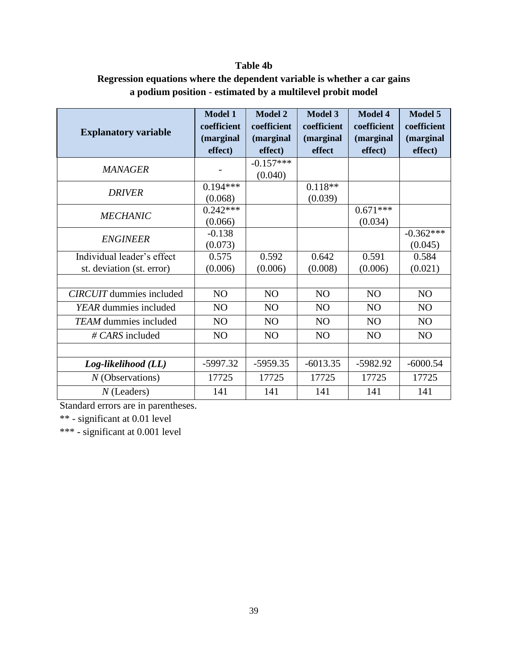## **Table 4b**

## **Regression equations where the dependent variable is whether a car gains a podium position - estimated by a multilevel probit model**

|                                 | <b>Model 1</b> | <b>Model 2</b> | <b>Model 3</b> | <b>Model 4</b> | <b>Model 5</b> |
|---------------------------------|----------------|----------------|----------------|----------------|----------------|
| <b>Explanatory variable</b>     | coefficient    | coefficient    | coefficient    | coefficient    | coefficient    |
|                                 | (marginal      | (marginal      | (marginal      | (marginal      | (marginal      |
|                                 | effect)        | effect)        | effect         | effect)        | effect)        |
| <b>MANAGER</b>                  |                | $-0.157***$    |                |                |                |
|                                 |                | (0.040)        |                |                |                |
| <b>DRIVER</b>                   | $0.194***$     |                | $0.118**$      |                |                |
|                                 | (0.068)        |                | (0.039)        |                |                |
| <b>MECHANIC</b>                 | $0.242***$     |                |                | $0.671***$     |                |
|                                 | (0.066)        |                |                | (0.034)        |                |
| <b>ENGINEER</b>                 | $-0.138$       |                |                |                | $-0.362***$    |
|                                 | (0.073)        |                |                |                | (0.045)        |
| Individual leader's effect      | 0.575          | 0.592          | 0.642          | 0.591          | 0.584          |
| st. deviation (st. error)       | (0.006)        | (0.006)        | (0.008)        | (0.006)        | (0.021)        |
|                                 |                |                |                |                |                |
| <b>CIRCUIT</b> dummies included | NO             | NO             | NO             | N <sub>O</sub> | N <sub>O</sub> |
| YEAR dummies included           | N <sub>O</sub> | N <sub>O</sub> | N <sub>O</sub> | NO             | NO             |
| <b>TEAM</b> dummies included    | NO             | N <sub>O</sub> | N <sub>O</sub> | NO             | N <sub>O</sub> |
| # CARS included                 | NO             | NO             | NO             | NO             | NO             |
|                                 |                |                |                |                |                |
| Log-likelihood (LL)             | $-5997.32$     | $-5959.35$     | $-6013.35$     | -5982.92       | $-6000.54$     |
| $N$ (Observations)              | 17725          | 17725          | 17725          | 17725          | 17725          |
| $N$ (Leaders)                   | 141            | 141            | 141            | 141            | 141            |

Standard errors are in parentheses.

\*\* - significant at 0.01 level

\*\*\* - significant at 0.001 level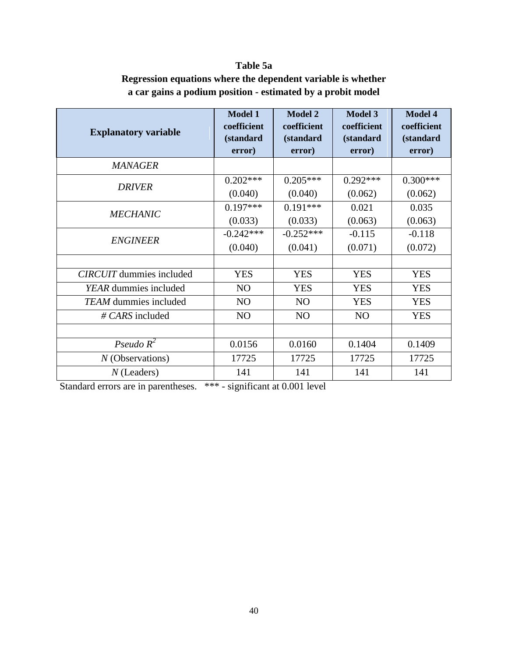# **Table 5a**

| <b>Explanatory variable</b>     | <b>Model 1</b><br>coefficient<br><i>(standard)</i><br>error) | <b>Model 2</b><br>coefficient<br>(standard<br>error) | <b>Model 3</b><br>coefficient<br>(standard<br>error) | <b>Model 4</b><br>coefficient<br><i>(standard)</i><br>error) |
|---------------------------------|--------------------------------------------------------------|------------------------------------------------------|------------------------------------------------------|--------------------------------------------------------------|
| <b>MANAGER</b>                  |                                                              |                                                      |                                                      |                                                              |
| <b>DRIVER</b>                   | $0.202***$                                                   | $0.205***$                                           | $0.292***$                                           | $0.300***$                                                   |
|                                 | (0.040)                                                      | (0.040)                                              | (0.062)                                              | (0.062)                                                      |
| <b>MECHANIC</b>                 | $0.197***$                                                   | $0.191***$                                           | 0.021                                                | 0.035                                                        |
|                                 | (0.033)                                                      | (0.033)                                              | (0.063)                                              | (0.063)                                                      |
| <b>ENGINEER</b>                 | $-0.242***$                                                  | $-0.252***$                                          | $-0.115$                                             | $-0.118$                                                     |
|                                 | (0.040)                                                      | (0.041)                                              | (0.071)                                              | (0.072)                                                      |
|                                 |                                                              |                                                      |                                                      |                                                              |
| <b>CIRCUIT</b> dummies included | <b>YES</b>                                                   | <b>YES</b>                                           | <b>YES</b>                                           | <b>YES</b>                                                   |
| YEAR dummies included           | N <sub>O</sub>                                               | <b>YES</b>                                           | <b>YES</b>                                           | <b>YES</b>                                                   |
| <b>TEAM</b> dummies included    | N <sub>O</sub>                                               | N <sub>O</sub>                                       | <b>YES</b>                                           | <b>YES</b>                                                   |
| $\# \text{CARS}$ included       | N <sub>O</sub>                                               | N <sub>O</sub>                                       | N <sub>O</sub>                                       | <b>YES</b>                                                   |
|                                 |                                                              |                                                      |                                                      |                                                              |

*N* (Observations) 17725 17725 17725 17725 *N* (Leaders) 141 141 141 141

0.0156 0.0160 0.1404 0.1409

## **Regression equations where the dependent variable is whether a car gains a podium position - estimated by a probit model**

Standard errors are in parentheses. \*\*\* - significant at 0.001 level

*Pseudo R<sup>2</sup>*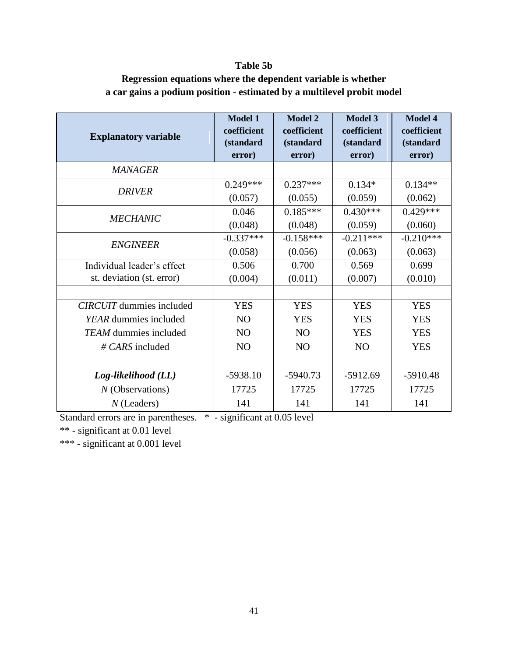## **Table 5b**

## **Regression equations where the dependent variable is whether a car gains a podium position - estimated by a multilevel probit model**

|                                 | <b>Model 1</b> | <b>Model 2</b>    | <b>Model 3</b>    | <b>Model 4</b>    |
|---------------------------------|----------------|-------------------|-------------------|-------------------|
| <b>Explanatory variable</b>     | coefficient    | coefficient       | coefficient       | coefficient       |
|                                 | (standard      | <i>(standard)</i> | <i>(standard)</i> | <i>(standard)</i> |
|                                 | error)         | error)            | error)            | error)            |
| <b>MANAGER</b>                  |                |                   |                   |                   |
| <b>DRIVER</b>                   | $0.249***$     | $0.237***$        | $0.134*$          | $0.134**$         |
|                                 | (0.057)        | (0.055)           | (0.059)           | (0.062)           |
| <b>MECHANIC</b>                 | 0.046          | $0.185***$        | $0.430***$        | $0.429***$        |
|                                 | (0.048)        | (0.048)           | (0.059)           | (0.060)           |
| <b>ENGINEER</b>                 | $-0.337***$    | $-0.158***$       | $-0.211***$       | $-0.210***$       |
|                                 | (0.058)        | (0.056)           | (0.063)           | (0.063)           |
| Individual leader's effect      | 0.506          | 0.700             | 0.569             | 0.699             |
| st. deviation (st. error)       | (0.004)        | (0.011)           | (0.007)           | (0.010)           |
|                                 |                |                   |                   |                   |
| <b>CIRCUIT</b> dummies included | <b>YES</b>     | <b>YES</b>        | <b>YES</b>        | <b>YES</b>        |
| YEAR dummies included           | N <sub>O</sub> | <b>YES</b>        | <b>YES</b>        | <b>YES</b>        |
| <b>TEAM</b> dummies included    | N <sub>O</sub> | N <sub>O</sub>    | <b>YES</b>        | <b>YES</b>        |
| $\# \text{CARS}$ included       | N <sub>O</sub> | N <sub>O</sub>    | N <sub>O</sub>    | <b>YES</b>        |
|                                 |                |                   |                   |                   |
| Log-likelihood (LL)             | $-5938.10$     | $-5940.73$        | $-5912.69$        | $-5910.48$        |
| $N$ (Observations)              | 17725          | 17725             | 17725             | 17725             |
| $N$ (Leaders)                   | 141            | 141               | 141               | 141               |

Standard errors are in parentheses. \* - significant at 0.05 level

\*\* - significant at 0.01 level

\*\*\* - significant at 0.001 level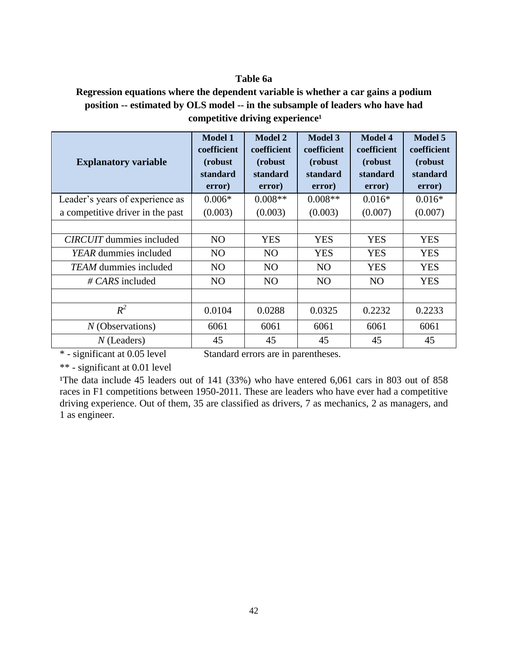## **Table 6a**

## **Regression equations where the dependent variable is whether a car gains a podium position -- estimated by OLS model -- in the subsample of leaders who have had** competitive driving experience<sup>1</sup>

| <b>Explanatory variable</b>      | <b>Model 1</b><br>coefficient<br>(robust)<br>standard<br>error) | <b>Model 2</b><br>coefficient<br>(robust)<br>standard<br>error) | <b>Model 3</b><br>coefficient<br>(robust)<br>standard<br>error) | <b>Model 4</b><br>coefficient<br>(robust)<br>standard<br>error) | <b>Model 5</b><br>coefficient<br>(robust<br>standard<br>error) |
|----------------------------------|-----------------------------------------------------------------|-----------------------------------------------------------------|-----------------------------------------------------------------|-----------------------------------------------------------------|----------------------------------------------------------------|
| Leader's years of experience as  | $0.006*$                                                        | $0.008**$                                                       | $0.008**$                                                       | $0.016*$                                                        | $0.016*$                                                       |
| a competitive driver in the past | (0.003)                                                         | (0.003)                                                         | (0.003)                                                         | (0.007)                                                         | (0.007)                                                        |
|                                  |                                                                 |                                                                 |                                                                 |                                                                 |                                                                |
| <i>CIRCUIT</i> dummies included  | N <sub>O</sub>                                                  | <b>YES</b>                                                      | <b>YES</b>                                                      | <b>YES</b>                                                      | <b>YES</b>                                                     |
| YEAR dummies included            | N <sub>O</sub>                                                  | N <sub>O</sub>                                                  | <b>YES</b>                                                      | <b>YES</b>                                                      | <b>YES</b>                                                     |
| <b>TEAM</b> dummies included     | N <sub>O</sub>                                                  | N <sub>O</sub>                                                  | N <sub>O</sub>                                                  | <b>YES</b>                                                      | <b>YES</b>                                                     |
| $\# \text{CARS}$ included        | N <sub>O</sub>                                                  | N <sub>O</sub>                                                  | N <sub>O</sub>                                                  | N <sub>O</sub>                                                  | <b>YES</b>                                                     |
|                                  |                                                                 |                                                                 |                                                                 |                                                                 |                                                                |
| $R^2$                            | 0.0104                                                          | 0.0288                                                          | 0.0325                                                          | 0.2232                                                          | 0.2233                                                         |
| $N$ (Observations)               | 6061                                                            | 6061                                                            | 6061                                                            | 6061                                                            | 6061                                                           |
| $N$ (Leaders)                    | 45                                                              | 45                                                              | 45                                                              | 45                                                              | 45                                                             |

\* - significant at 0.05 level Standard errors are in parentheses.

\*\* - significant at 0.01 level

<sup>1</sup>The data include 45 leaders out of 141 (33%) who have entered 6,061 cars in 803 out of 858 races in F1 competitions between 1950-2011. These are leaders who have ever had a competitive driving experience. Out of them, 35 are classified as drivers, 7 as mechanics, 2 as managers, and 1 as engineer.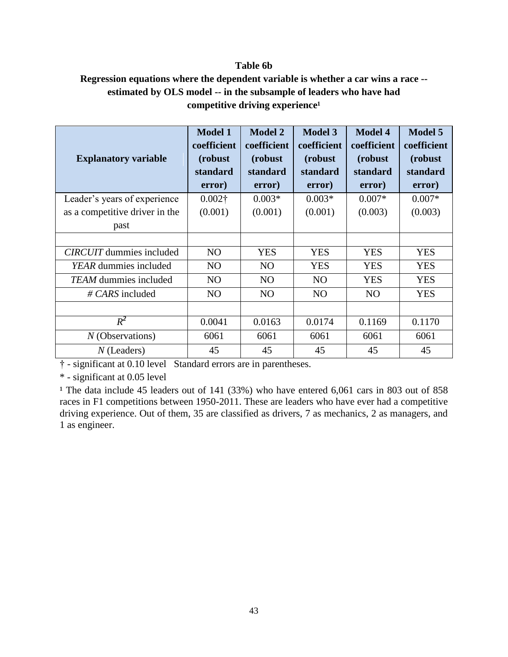## **Table 6b**

## **Regression equations where the dependent variable is whether a car wins a race - estimated by OLS model -- in the subsample of leaders who have had**  competitive driving experience<sup>1</sup>

| <b>Explanatory variable</b>     | <b>Model 1</b><br>coefficient<br>(robust)<br>standard<br>error) | <b>Model 2</b><br>coefficient<br>(robust)<br>standard<br>error) | <b>Model 3</b><br>coefficient<br>(robust)<br>standard<br>error) | <b>Model 4</b><br>coefficient<br>(robust)<br>standard<br>error) | <b>Model 5</b><br>coefficient<br>(robust)<br>standard<br>error) |
|---------------------------------|-----------------------------------------------------------------|-----------------------------------------------------------------|-----------------------------------------------------------------|-----------------------------------------------------------------|-----------------------------------------------------------------|
| Leader's years of experience    | $0.002\dagger$                                                  | $0.003*$                                                        | $0.003*$                                                        | $0.007*$                                                        | $0.007*$                                                        |
| as a competitive driver in the  | (0.001)                                                         | (0.001)                                                         | (0.001)                                                         | (0.003)                                                         | (0.003)                                                         |
| past                            |                                                                 |                                                                 |                                                                 |                                                                 |                                                                 |
|                                 |                                                                 |                                                                 |                                                                 |                                                                 |                                                                 |
| <b>CIRCUIT</b> dummies included | N <sub>O</sub>                                                  | <b>YES</b>                                                      | <b>YES</b>                                                      | <b>YES</b>                                                      | <b>YES</b>                                                      |
| YEAR dummies included           | NO                                                              | N <sub>O</sub>                                                  | <b>YES</b>                                                      | <b>YES</b>                                                      | <b>YES</b>                                                      |
| <b>TEAM</b> dummies included    | N <sub>O</sub>                                                  | N <sub>O</sub>                                                  | N <sub>O</sub>                                                  | <b>YES</b>                                                      | <b>YES</b>                                                      |
| $\# \text{CARS}$ included       | NO                                                              | N <sub>O</sub>                                                  | NO                                                              | NO                                                              | <b>YES</b>                                                      |
|                                 |                                                                 |                                                                 |                                                                 |                                                                 |                                                                 |
| $R^2$                           | 0.0041                                                          | 0.0163                                                          | 0.0174                                                          | 0.1169                                                          | 0.1170                                                          |
| $N$ (Observations)              | 6061                                                            | 6061                                                            | 6061                                                            | 6061                                                            | 6061                                                            |
| $N$ (Leaders)                   | 45                                                              | 45                                                              | 45                                                              | 45                                                              | 45                                                              |

† - significant at 0.10 level Standard errors are in parentheses.

\* - significant at 0.05 level

<sup>1</sup> The data include 45 leaders out of 141 (33%) who have entered 6,061 cars in 803 out of 858 races in F1 competitions between 1950-2011. These are leaders who have ever had a competitive driving experience. Out of them, 35 are classified as drivers, 7 as mechanics, 2 as managers, and 1 as engineer.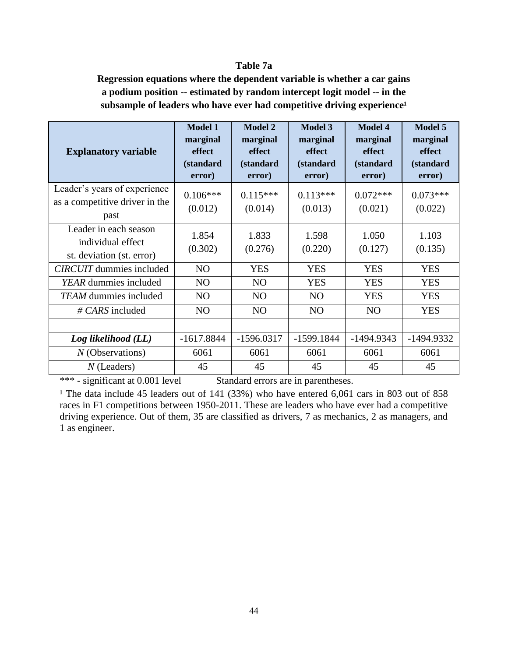## **Table 7a**

**Regression equations where the dependent variable is whether a car gains a podium position -- estimated by random intercept logit model -- in the** subsample of leaders who have ever had competitive driving experience<sup>1</sup>

| <b>Explanatory variable</b>                                             | <b>Model 1</b><br>marginal<br>effect<br>(standard<br>error) | <b>Model 2</b><br>marginal<br>effect<br><i>(standard)</i><br>error) | <b>Model 3</b><br>marginal<br>effect<br>(standard<br>error) | <b>Model 4</b><br>marginal<br><b>effect</b><br>(standard<br>error) | <b>Model 5</b><br>marginal<br>effect<br>(standard<br>error) |
|-------------------------------------------------------------------------|-------------------------------------------------------------|---------------------------------------------------------------------|-------------------------------------------------------------|--------------------------------------------------------------------|-------------------------------------------------------------|
| Leader's years of experience<br>as a competitive driver in the<br>past  | $0.106***$<br>(0.012)                                       | $0.115***$<br>(0.014)                                               | $0.113***$<br>(0.013)                                       | $0.072***$<br>(0.021)                                              | $0.073***$<br>(0.022)                                       |
| Leader in each season<br>individual effect<br>st. deviation (st. error) | 1.854<br>(0.302)                                            | 1.833<br>(0.276)                                                    | 1.598<br>(0.220)                                            | 1.050<br>(0.127)                                                   | 1.103<br>(0.135)                                            |
| <b>CIRCUIT</b> dummies included                                         | N <sub>O</sub>                                              | <b>YES</b>                                                          | <b>YES</b>                                                  | <b>YES</b>                                                         | <b>YES</b>                                                  |
| YEAR dummies included                                                   | N <sub>O</sub>                                              | N <sub>O</sub>                                                      | <b>YES</b>                                                  | <b>YES</b>                                                         | <b>YES</b>                                                  |
| <i>TEAM</i> dummies included                                            | N <sub>O</sub>                                              | N <sub>O</sub>                                                      | N <sub>O</sub>                                              | <b>YES</b>                                                         | <b>YES</b>                                                  |
| $\# CARS$ included                                                      | NO                                                          | N <sub>O</sub>                                                      | N <sub>O</sub>                                              | NO                                                                 | <b>YES</b>                                                  |
|                                                                         |                                                             |                                                                     |                                                             |                                                                    |                                                             |
| Log likelihood (LL)                                                     | $-1617.8844$                                                | $-1596.0317$                                                        | $-1599.1844$                                                | $-1494.9343$                                                       | -1494.9332                                                  |
| $N$ (Observations)                                                      | 6061                                                        | 6061                                                                | 6061                                                        | 6061                                                               | 6061                                                        |
| $N$ (Leaders)                                                           | 45                                                          | 45                                                                  | 45                                                          | 45                                                                 | 45                                                          |

\*\*\* - significant at 0.001 level Standard errors are in parentheses.

<sup>1</sup> The data include 45 leaders out of 141 (33%) who have entered 6,061 cars in 803 out of 858 races in F1 competitions between 1950-2011. These are leaders who have ever had a competitive driving experience. Out of them, 35 are classified as drivers, 7 as mechanics, 2 as managers, and 1 as engineer.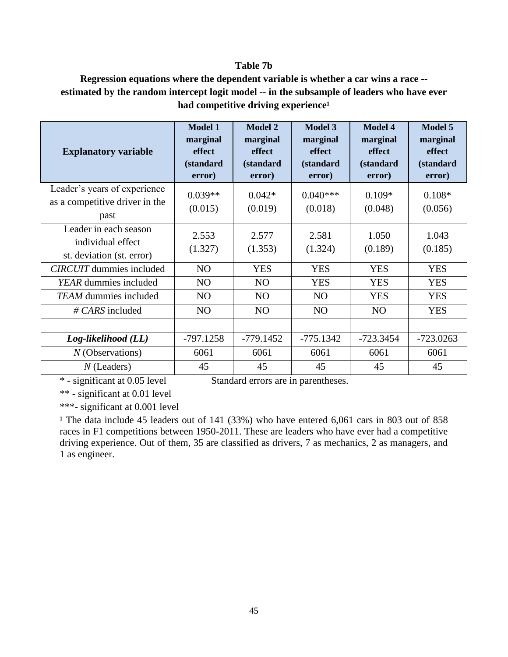## **Table 7b**

## **Regression equations where the dependent variable is whether a car wins a race - estimated by the random intercept logit model -- in the subsample of leaders who have ever**  had competitive driving experience<sup>1</sup>

| <b>Explanatory variable</b>                                             | <b>Model 1</b><br>marginal<br>effect<br><i>(standard)</i><br>error) | <b>Model 2</b><br>marginal<br>effect<br>(standard<br>error) | <b>Model 3</b><br>marginal<br><b>effect</b><br><i>(standard)</i><br>error) | <b>Model 4</b><br>marginal<br><b>effect</b><br><i>(standard)</i><br>error) | <b>Model 5</b><br>marginal<br>effect<br>(standard<br>error) |
|-------------------------------------------------------------------------|---------------------------------------------------------------------|-------------------------------------------------------------|----------------------------------------------------------------------------|----------------------------------------------------------------------------|-------------------------------------------------------------|
| Leader's years of experience<br>as a competitive driver in the<br>past  | $0.039**$<br>(0.015)                                                | $0.042*$<br>(0.019)                                         | $0.040***$<br>(0.018)                                                      | $0.109*$<br>(0.048)                                                        | $0.108*$<br>(0.056)                                         |
| Leader in each season<br>individual effect<br>st. deviation (st. error) | 2.553<br>(1.327)                                                    | 2.577<br>(1.353)                                            | 2.581<br>(1.324)                                                           | 1.050<br>(0.189)                                                           | 1.043<br>(0.185)                                            |
| <b>CIRCUIT</b> dummies included                                         | N <sub>O</sub>                                                      | <b>YES</b>                                                  | <b>YES</b>                                                                 | <b>YES</b>                                                                 | <b>YES</b>                                                  |
| YEAR dummies included                                                   | N <sub>O</sub>                                                      | N <sub>O</sub>                                              | <b>YES</b>                                                                 | <b>YES</b>                                                                 | <b>YES</b>                                                  |
| <b>TEAM</b> dummies included                                            | N <sub>O</sub>                                                      | N <sub>O</sub>                                              | N <sub>O</sub>                                                             | <b>YES</b>                                                                 | <b>YES</b>                                                  |
| $\# \text{CARS}$ included                                               | N <sub>O</sub>                                                      | N <sub>O</sub>                                              | N <sub>O</sub>                                                             | N <sub>O</sub>                                                             | <b>YES</b>                                                  |
|                                                                         |                                                                     |                                                             |                                                                            |                                                                            |                                                             |
| $Log-likelihood$ ( $LL$ )                                               | $-797.1258$                                                         | $-779.1452$                                                 | $-775.1342$                                                                | $-723.3454$                                                                | $-723.0263$                                                 |
| $N$ (Observations)                                                      | 6061                                                                | 6061                                                        | 6061                                                                       | 6061                                                                       | 6061                                                        |
| $N$ (Leaders)                                                           | 45                                                                  | 45                                                          | 45                                                                         | 45                                                                         | 45                                                          |

\* - significant at 0.05 level Standard errors are in parentheses.

\*\* - significant at 0.01 level

\*\*\*- significant at 0.001 level

<sup>1</sup> The data include 45 leaders out of 141 (33%) who have entered 6,061 cars in 803 out of 858 races in F1 competitions between 1950-2011. These are leaders who have ever had a competitive driving experience. Out of them, 35 are classified as drivers, 7 as mechanics, 2 as managers, and 1 as engineer.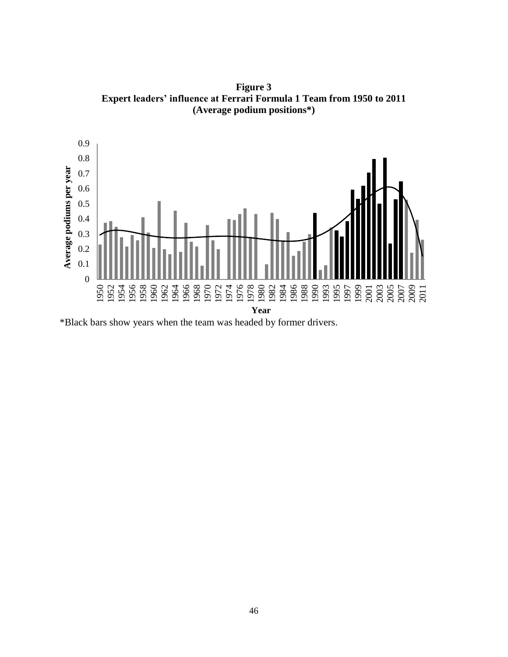**Figure 3 Expert leaders' influence at Ferrari Formula 1 Team from 1950 to 2011 (Average podium positions\*)**



\*Black bars show years when the team was headed by former drivers.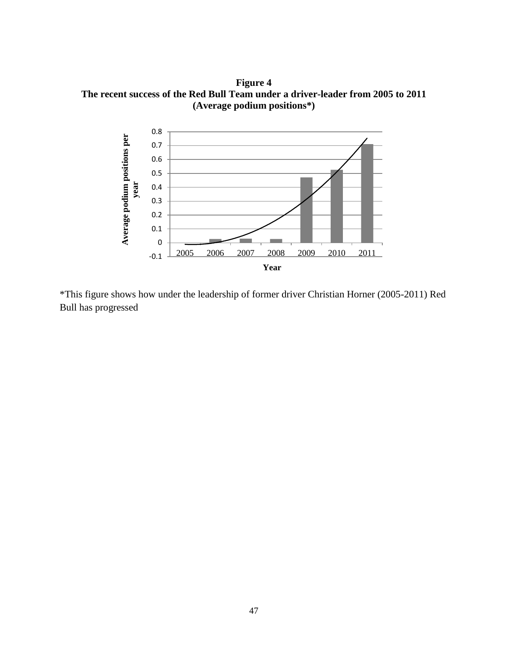**Figure 4 The recent success of the Red Bull Team under a driver-leader from 2005 to 2011 (Average podium positions\*)**



\*This figure shows how under the leadership of former driver Christian Horner (2005-2011) Red Bull has progressed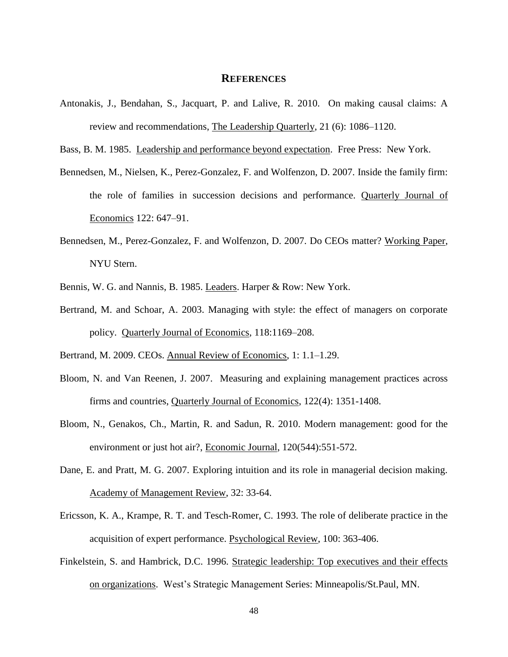#### **REFERENCES**

- Antonakis, J., Bendahan, S., Jacquart, P. and Lalive, R. 2010. On making causal claims: A review and recommendations, The Leadership Quarterly, 21 (6): 1086–1120.
- Bass, B. M. 1985. Leadership and performance beyond expectation. Free Press: New York.
- Bennedsen, M., Nielsen, K., Perez-Gonzalez, F. and Wolfenzon, D. 2007. Inside the family firm: the role of families in succession decisions and performance. Quarterly Journal of Economics 122: 647–91.
- Bennedsen, M., Perez-Gonzalez, F. and Wolfenzon, D. 2007. Do CEOs matter? Working Paper, NYU Stern.
- Bennis, W. G. and Nannis, B. 1985. Leaders. Harper & Row: New York.
- Bertrand, M. and Schoar, A. 2003. Managing with style: the effect of managers on corporate policy. Quarterly Journal of Economics, 118:1169–208.

- Bloom, N. and Van Reenen, J. 2007. Measuring and explaining management practices across firms and countries, Quarterly Journal of Economics, 122(4): 1351-1408.
- Bloom, N., Genakos, Ch., Martin, R. and Sadun, R. 2010. Modern management: good for the environment or just hot air?, Economic Journal, 120(544):551-572.
- Dane, E. and Pratt, M. G. 2007. Exploring intuition and its role in managerial decision making. Academy of Management Review, 32: 33-64.
- Ericsson, K. A., Krampe, R. T. and Tesch-Romer, C. 1993. The role of deliberate practice in the acquisition of expert performance. Psychological Review, 100: 363-406.
- Finkelstein, S. and Hambrick, D.C. 1996. Strategic leadership: Top executives and their effects on organizations. West's Strategic Management Series: Minneapolis/St.Paul, MN.

Bertrand, M. 2009. CEOs. Annual Review of Economics, 1: 1.1–1.29.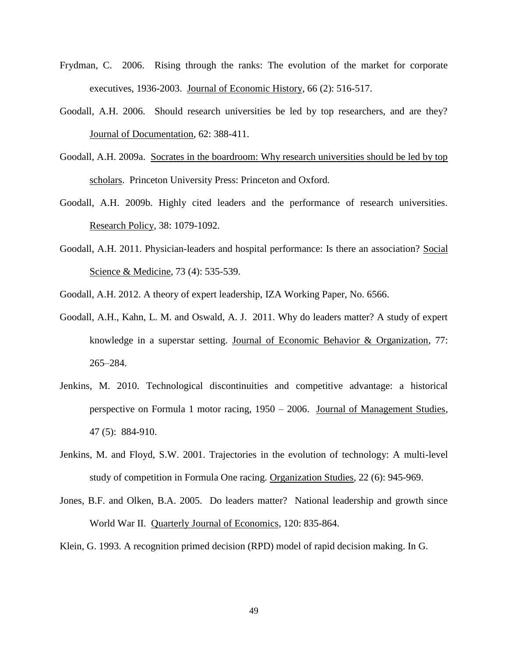- Frydman, C. 2006. Rising through the ranks: The evolution of the market for corporate executives, 1936-2003. Journal of Economic History, 66 (2): 516-517.
- Goodall, A.H. 2006. Should research universities be led by top researchers, and are they? Journal of Documentation, 62: 388-411.
- Goodall, A.H. 2009a. Socrates in the boardroom: Why research universities should be led by top scholars. Princeton University Press: Princeton and Oxford.
- Goodall, A.H. 2009b. Highly cited leaders and the performance of research universities. Research Policy, 38: 1079-1092.
- Goodall, A.H. 2011. Physician-leaders and hospital performance: Is there an association? Social Science & Medicine, 73 (4): 535-539.
- Goodall, A.H. 2012. A theory of expert leadership, IZA Working Paper, No. 6566.
- Goodall, A.H., Kahn, L. M. and Oswald, A. J. 2011. Why do leaders matter? A study of expert knowledge in a superstar setting. Journal of Economic Behavior & Organization, 77: 265–284.
- Jenkins, M. 2010. Technological discontinuities and competitive advantage: a historical perspective on Formula 1 motor racing, 1950 – 2006. Journal of Management Studies, 47 (5): 884-910.
- Jenkins, M. and Floyd, S.W. 2001. Trajectories in the evolution of technology: A multi-level study of competition in Formula One racing. Organization Studies*,* 22 (6): 945-969.
- Jones, B.F. and Olken, B.A. 2005. Do leaders matter? National leadership and growth since World War II. Quarterly Journal of Economics, 120: 835-864.

Klein, G. 1993. A recognition primed decision (RPD) model of rapid decision making. In G.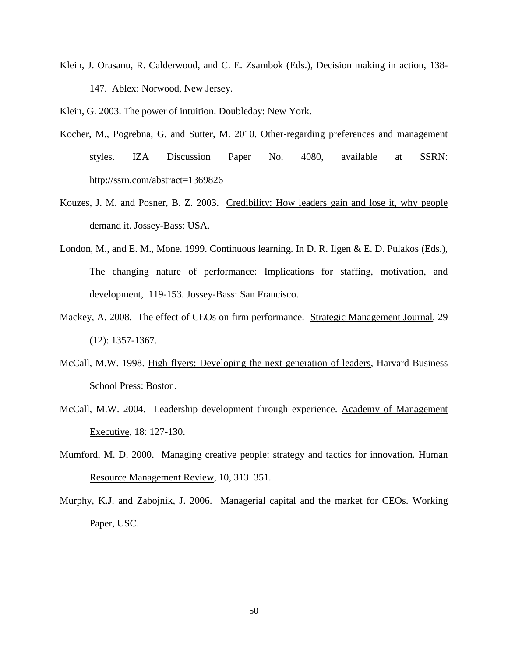Klein, J. Orasanu, R. Calderwood, and C. E. Zsambok (Eds.), Decision making in action, 138- 147. Ablex: Norwood, New Jersey.

Klein, G. 2003. The power of intuition. Doubleday: New York.

- Kocher, M., Pogrebna, G. and Sutter, M. 2010. Other-regarding preferences and management styles. IZA Discussion Paper No. 4080, available at SSRN: http://ssrn.com/abstract=1369826
- Kouzes, J. M. and Posner, B. Z. 2003. Credibility: How leaders gain and lose it, why people demand it. Jossey-Bass: USA.
- London, M., and E. M., Mone. 1999. Continuous learning. In D. R. Ilgen & E. D. Pulakos (Eds.), The changing nature of performance: Implications for staffing, motivation, and development, 119-153. Jossey-Bass: San Francisco.
- Mackey, A. 2008. The effect of CEOs on firm performance. Strategic Management Journal, 29 (12): 1357-1367.
- McCall, M.W. 1998. High flyers: Developing the next generation of leaders, Harvard Business School Press: Boston.
- McCall, M.W. 2004. Leadership development through experience. Academy of Management Executive, 18: 127-130.
- Mumford, M. D. 2000. Managing creative people: strategy and tactics for innovation. Human Resource Management Review, 10, 313–351.
- Murphy, K.J. and Zabojnik, J. 2006. Managerial capital and the market for CEOs. Working Paper, USC.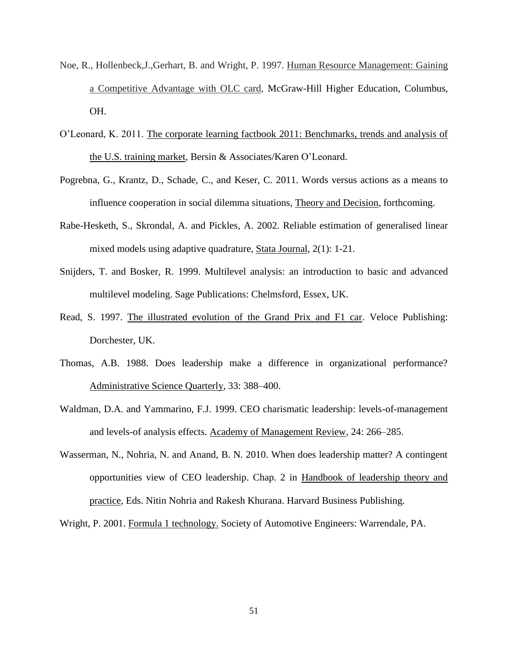- Noe, R., Hollenbeck,J.,Gerhart, B. and Wright, P. 1997. Human Resource Management: Gaining a Competitive Advantage with OLC card, McGraw-Hill Higher Education, Columbus, OH.
- O'Leonard, K. 2011. The corporate learning factbook 2011: Benchmarks, trends and analysis of the U.S. training market, Bersin & Associates/Karen O'Leonard.
- Pogrebna, G., Krantz, D., Schade, C., and Keser, C. 2011. Words versus actions as a means to influence cooperation in social dilemma situations, Theory and Decision, forthcoming.
- Rabe-Hesketh, S., Skrondal, A. and Pickles, A. 2002. Reliable estimation of generalised linear mixed models using adaptive quadrature, Stata Journal, 2(1): 1-21.
- Snijders, T. and Bosker, R. 1999. Multilevel analysis: an introduction to basic and advanced multilevel modeling. Sage Publications: Chelmsford, Essex, UK.
- Read, S. 1997. The illustrated evolution of the Grand Prix and F1 car. Veloce Publishing: Dorchester, UK.
- Thomas, A.B. 1988. Does leadership make a difference in organizational performance? Administrative Science Quarterly, 33: 388–400.
- Waldman, D.A. and Yammarino, F.J. 1999. CEO charismatic leadership: levels-of-management and levels-of analysis effects. Academy of Management Review, 24: 266–285.
- Wasserman, N., Nohria, N. and Anand, B. N. 2010. When does leadership matter? A contingent opportunities view of CEO leadership. Chap. 2 in Handbook of leadership theory and practice, Eds. Nitin Nohria and Rakesh Khurana. Harvard Business Publishing.

Wright, P. 2001. Formula 1 technology. Society of Automotive Engineers: Warrendale, PA.